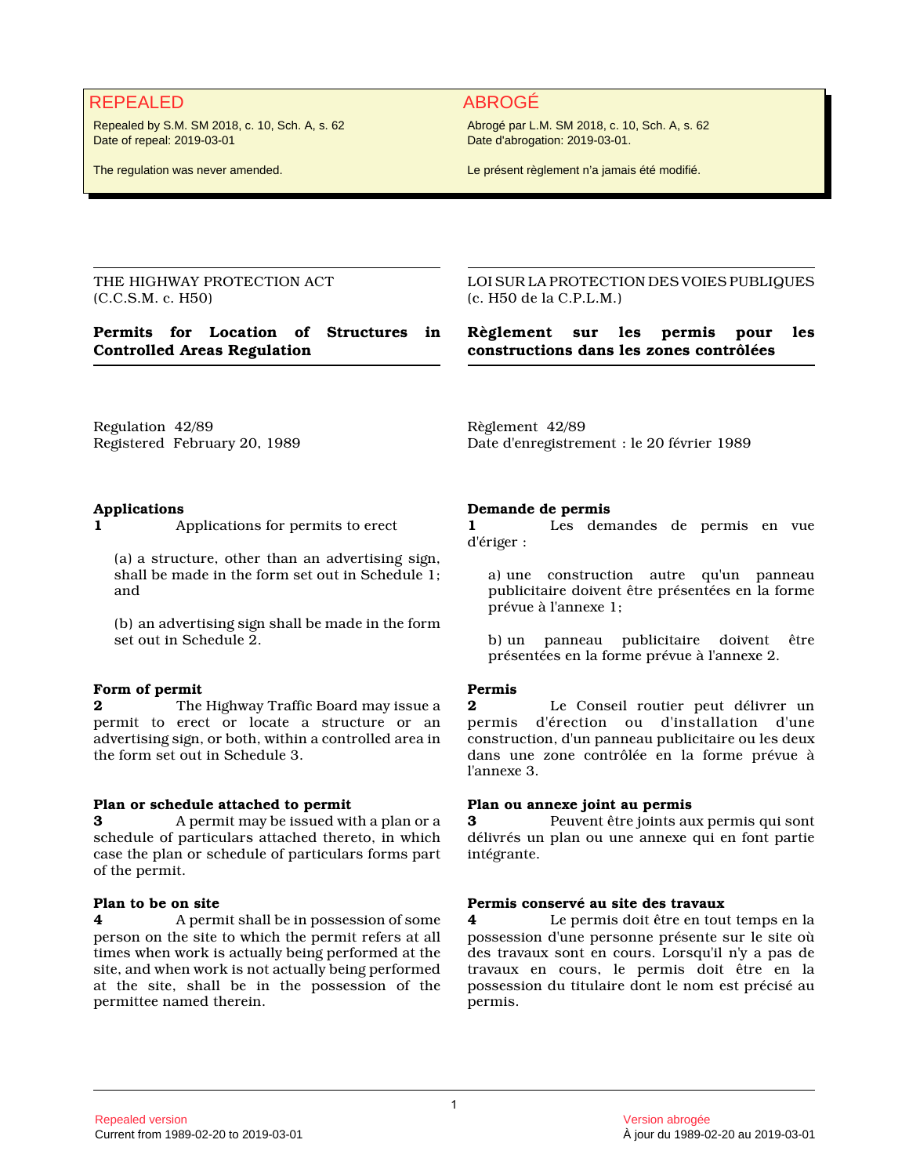## REPEALED ABROGÉ

Repealed by S.M. SM 2018, c. 10, Sch. A, s. 62 Date of repeal: 2019-03-01

The regulation was never amended.

Abrogé par L.M. SM 2018, c. 10, Sch. A, s. 62 Date d'abrogation: 2019-03-01.

Le présent règlement n'a jamais été modifié.

THE HIGHWAY PROTECTION ACT (C.C.S.M. c. H50)

## **Permits for Location of Structures in Controlled Areas Regulation**

LOI SUR LA PROTECTION DES VOIES PUBLIQUES (c. H50 de la C.P.L.M.)

**Règlement sur les permis pour les constructions dans les zones contrôlées**

Regulation 42/89 Registered February 20, 1989 Règlement 42/89 Date d'enregistrement : le 20 février 1989

## **Applications**

**1** Applications for permits to erect

(a) a structure, other than an advertising sign, shall be made in the form set out in Schedule 1; and

(b) an advertising sign shall be made in the form set out in Schedule 2.

#### **Form of permit**

**2** The Highway Traffic Board may issue a permit to erect or locate a structure or an advertising sign, or both, within a controlled area in the form set out in Schedule 3.

#### **Plan or schedule attached to permit**

**3** A permit may be issued with a plan or a schedule of particulars attached thereto, in which case the plan or schedule of particulars forms part of the permit.

#### **Plan to be on site**

**4** A permit shall be in possession of some person on the site to which the permit refers at all times when work is actually being performed at the site, and when work is not actually being performed at the site, shall be in the possession of the permittee named therein.

#### **Demande de permis**

**1** Les demandes de permis en vue d'ériger :

a) une construction autre qu'un panneau publicitaire doivent être présentées en la forme prévue à l'annexe 1;

b) un panneau publicitaire doivent être présentées en la forme prévue à l'annexe 2.

#### **Permis**

**2** Le Conseil routier peut délivrer un permis d'érection ou d'installation d'une construction, d'un panneau publicitaire ou les deux dans une zone contrôlée en la forme prévue à l'annexe 3.

#### **Plan ou annexe joint au permis**

**3** Peuvent être joints aux permis qui sont délivrés un plan ou une annexe qui en font partie intégrante.

#### **Permis conservé au site des travaux**

**4** Le permis doit être en tout temps en la possession d'une personne présente sur le site où des travaux sont en cours. Lorsqu'il n'y a pas de travaux en cours, le permis doit être en la possession du titulaire dont le nom est précisé au permis.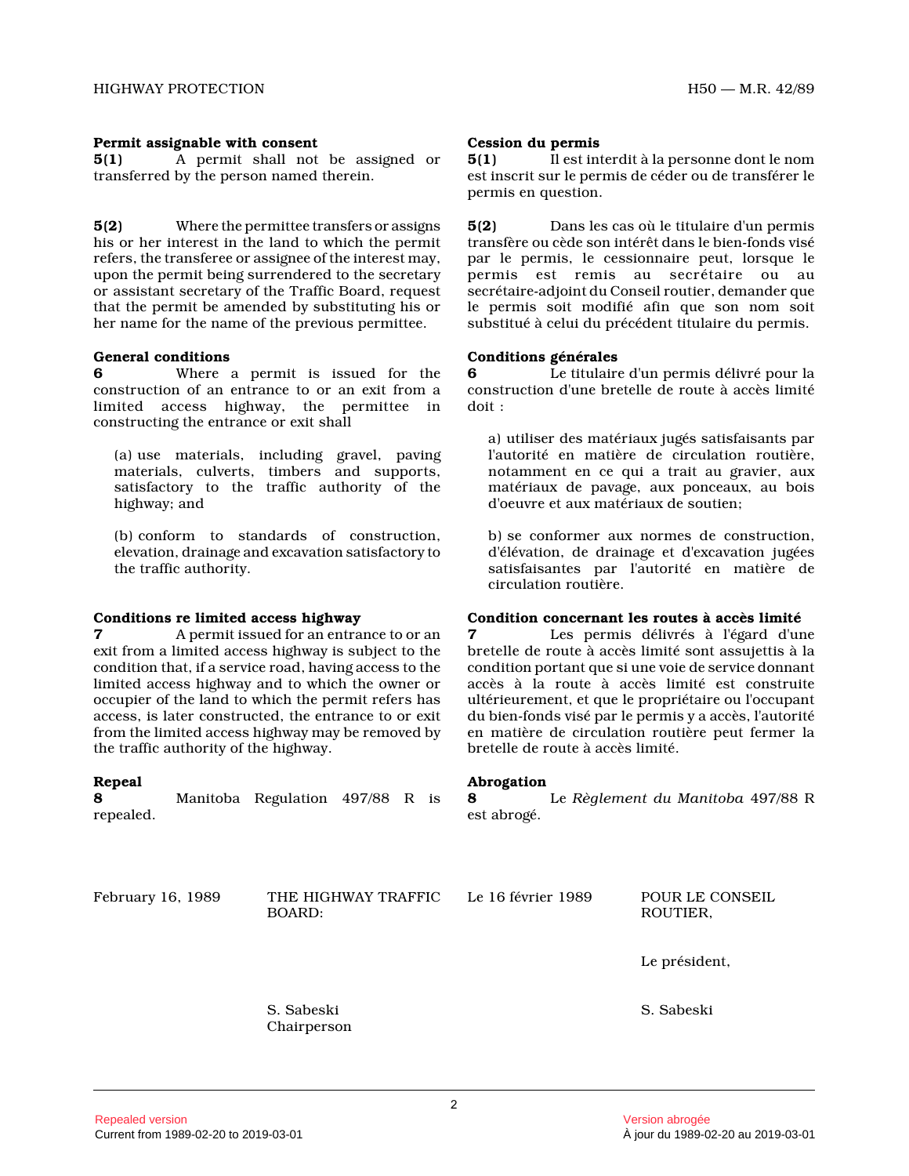#### **Permit assignable with consent**

**5(1)** A permit shall not be assigned or transferred by the person named therein.

**5(2)** Where the permittee transfers or assigns his or her interest in the land to which the permit refers, the transferee or assignee of the interest may, upon the permit being surrendered to the secretary or assistant secretary of the Traffic Board, reques t that the permit be amended by substituting his or her name for the name of the previous permittee.

#### **General conditions**

**6** Where a permit is issued for the construction of an entrance to or an exit from a limited access highway, the permittee in constructing the entrance or exit shall

(a) use materials, including gravel, paving materials, culverts, timbers and supports, satisfactory to the traffic authority of the highway; and

(b) conform to standards of construction, elevation, drainage and excavation satisfactory to the traffic authority.

#### **Conditions re limited access highway**

**7** A permit issued for an entrance to or an exit from a limited access highway is subject to th e condition that, if a service road, having access to the limited access highway and to which the owner or occupier of the land to which the permit refers has access, is later constructed, the entrance to or exit from the limited access highway may be removed by the traffic authority of the highway.

#### **Repeal**

**8** Manitoba Regulation 497/88 R is repealed.

**Cession du permis**

**5(1)** Il est interdit à la personne dont le nom est inscrit sur le permis de céder ou de transférer le permis en question.

**5(2)** Dans les cas où le titulaire d'un permis transfère ou cède son intérêt dans le bien-fonds visé par le permis, le cessionnaire peut, lorsque le permis est remis au secrétaire ou au secrétaire-adjoint du Conseil routier, demander que le permis soit modifié afin que son nom soit substitué à celui du précédent titulaire du permis.

#### **Conditions générales**

**6** Le titulaire d'un permis délivré pour la construction d'une bretelle de route à accès limité doit :

a) utiliser des matériaux jugés satisfaisants par l'autorité en matière de circulation routière, notamment en ce qui a trait au gravier, aux matériaux de pavage, aux ponceaux, au bois d'oeuvre et aux matériaux de soutien;

b) se conformer aux normes de construction, d'élévation, de drainage et d'excavation jugées satisfaisantes par l'autorité en matière de circulation routière.

## **Condition concernant les routes à accès limité**

**7** Les permis délivrés à l'égard d'une bretelle de route à accès limité sont assujettis à la condition portant que si une voie de service donnan t accès à la route à accès limité est construite ultérieurement, et que le propriétaire ou l'occupan t du bien-fonds visé par le permis y a accès, l'autorité en matière de circulation routière peut fermer la bretelle de route à accès limité.

#### **Abrogation**

**8** Le *Règlement du Manitoba* 497/88 R est abrogé.

February 16, 1989 THE HIGHWAY TRAFFIC BOARD:

Le 16 février 1989 POUR LE CONSEIL ROUTIER,

Le président,

S. Sabeski

S. Sabeski Chairperson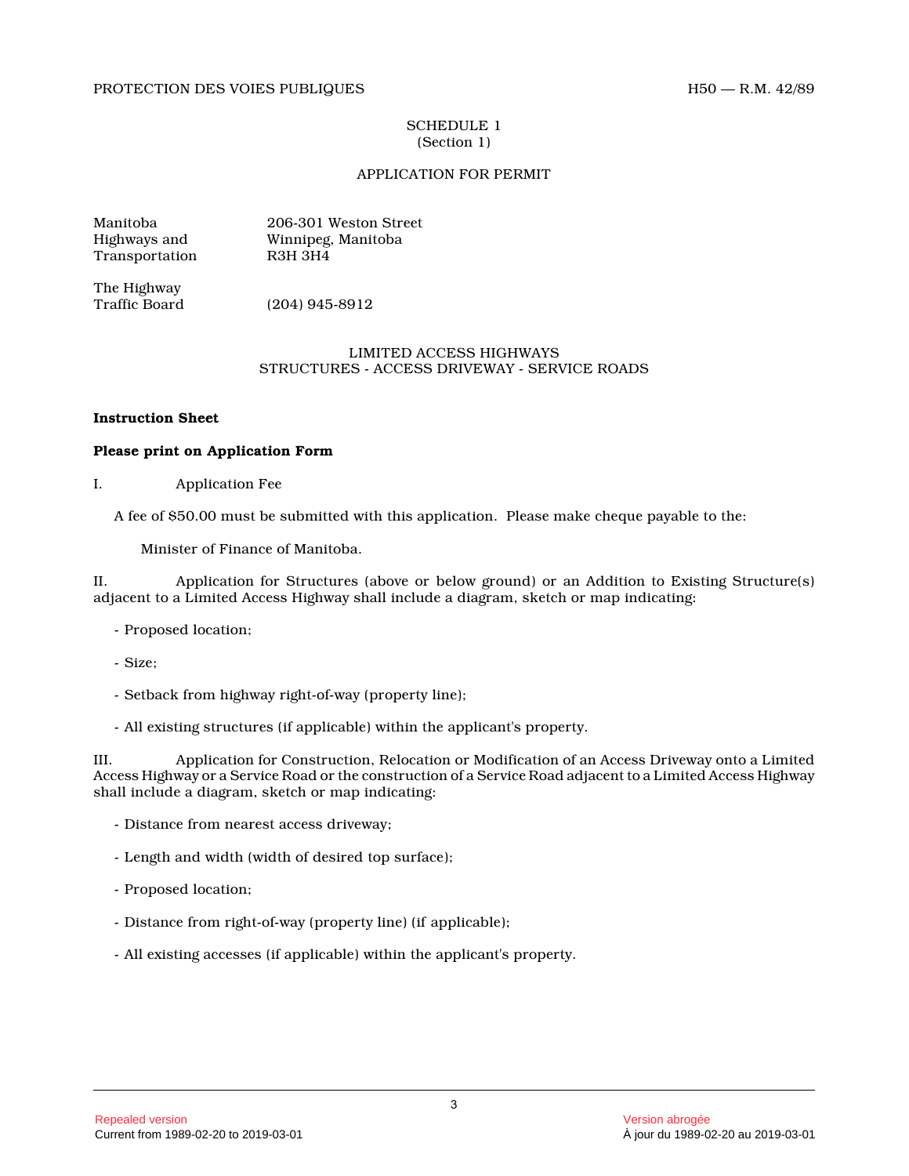#### PROTECTION DES VOIES PUBLIQUES H50 — R.M. 42/89

#### SCHEDULE 1 (Section 1)

## APPLICATION FOR PERMIT

Manitoba 206-301 Weston Street Highways and Winnipeg, Manitoba Transportation

The Highway<br>Traffic Board  $(204)$  945-8912

## LIMITED ACCESS HIGHWAYS STRUCTURES - ACCESS DRIVEWAY - SERVICE ROADS

#### **Instruction Sheet**

### **Please print on Application Form**

I. Application Fee

A fee of \$50.00 must be submitted with this application. Please make cheque payable to the:

Minister of Finance of Manitoba.

II. Application for Structures (above or below ground) or an Addition to Existing Structure(s) adjacent to a Limited Access Highway shall include a diagram, sketch or map indicating:

- Proposed location;
- Size;
- Setback from highway right-of-way (property line);
- All existing structures (if applicable) within the applicant's property.

III. Application for Construction, Relocation or Modification of an Access Driveway onto a Limited Access Highway or a Service Road or the construction of a Service Road adjacent to a Limited Access Highway shall include a diagram, sketch or map indicating:

- Distance from nearest access driveway;
- Length and width (width of desired top surface);
- Proposed location;
- Distance from right-of-way (property line) (if applicable);
- All existing accesses (if applicable) within the applicant's property.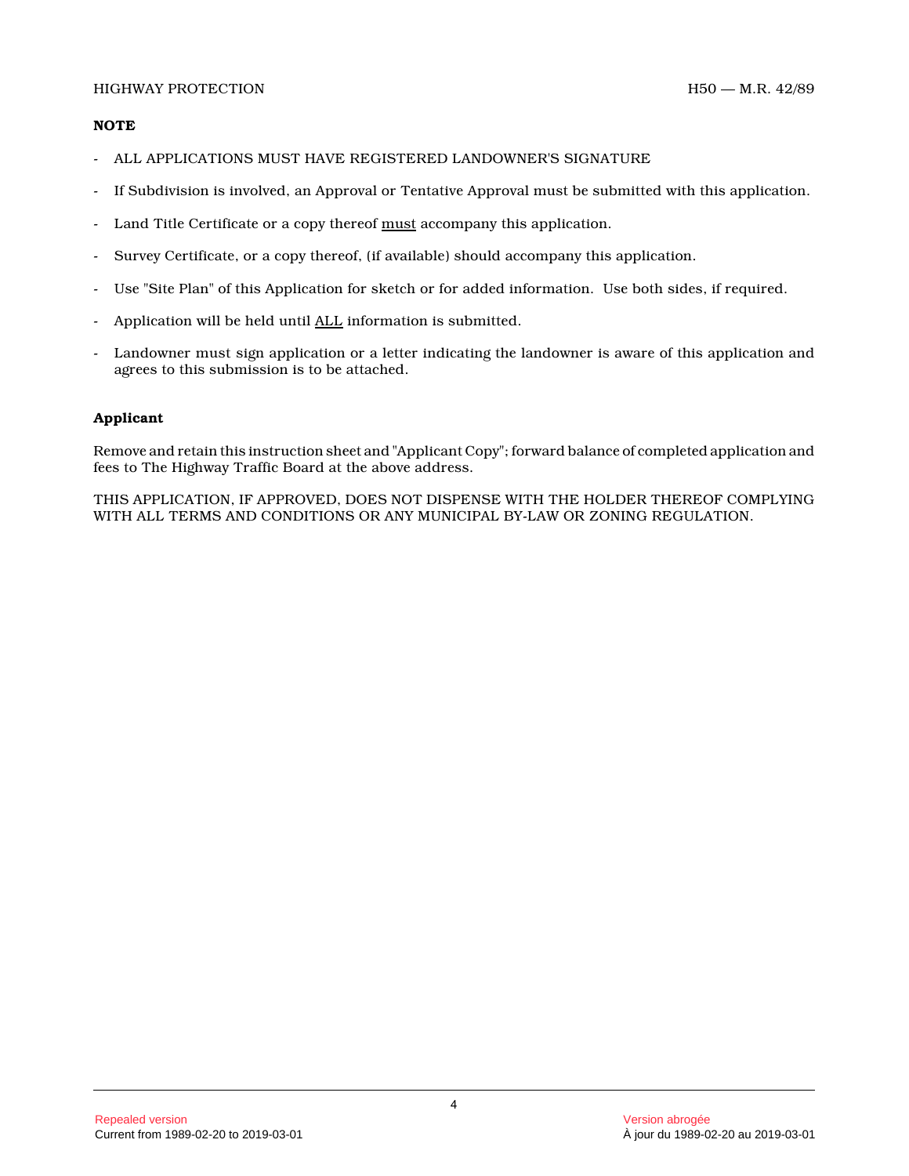## **NOTE**

- ALL APPLICATIONS MUST HAVE REGISTERED LANDOWNER'S SIGNATURE
- If Subdivision is involved, an Approval or Tentative Approval must be submitted with this application .
- Land Title Certificate or a copy thereof must accompany this application.
- Survey Certificate, or a copy thereof, (if available) should accompany this application.
- Use "Site Plan" of this Application for sketch or for added information. Use both sides, if required .
- Application will be held until ALL information is submitted.
- Landowner must sign application or a letter indicating the landowner is aware of this application and agrees to this submission is to be attached.

## **Applicant**

Remove and retain this instruction sheet and "Applicant Copy"; forward balance of completed application and fees to The Highway Traffic Board at the above address.

THIS APPLICATION, IF APPROVED, DOES NOT DISPENSE WITH THE HOLDER THEREOF COMPLYING WITH ALL TERMS AND CONDITIONS OR ANY MUNICIPAL BY-LAW OR ZONING REGULATION.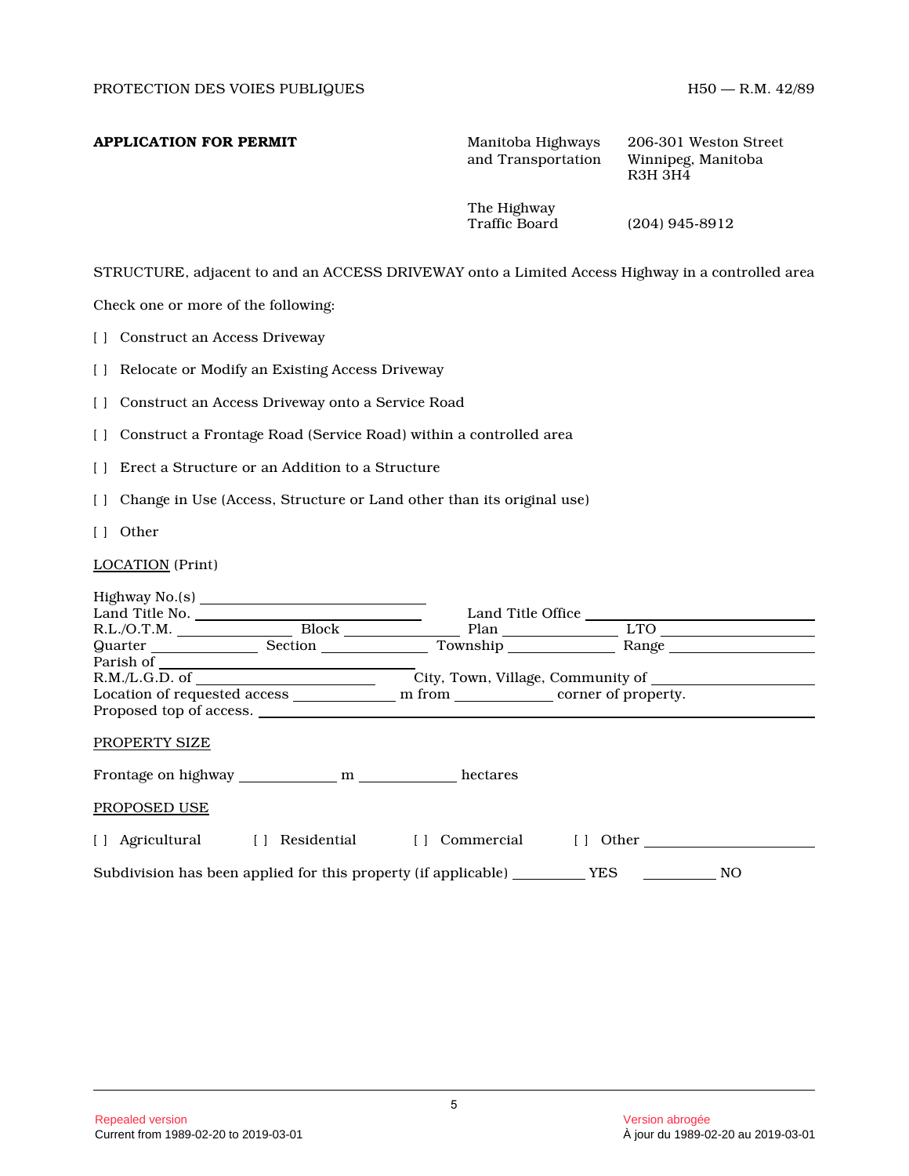**APPLICATION FOR PERMIT** Manitoba Highways 206-301 Weston Street and Transportation Winnipeg, Manitoba and Transportation

R3H 3H4

The Highway<br>Traffic Board

 $(204)$  945-8912

STRUCTURE, adjacent to and an ACCESS DRIVEWAY onto a Limited Access Highway in a controlled area

Check one or more of the following:

[ ] Construct an Access Driveway

[ ] Relocate or Modify an Existing Access Driveway

[ ] Construct an Access Driveway onto a Service Road

[] Construct a Frontage Road (Service Road) within a controlled area

- [ ] Erect a Structure or an Addition to a Structure
- [] Change in Use (Access, Structure or Land other than its original use)
- [ ] Other

LOCATION (Print)

|                                |                                                                | Land Title Office                 |     |
|--------------------------------|----------------------------------------------------------------|-----------------------------------|-----|
| $R.L./O.T.M.$ Block            |                                                                | LTO                               |     |
|                                | Township                                                       | Range                             |     |
| Parish of                      |                                                                |                                   |     |
|                                |                                                                | City, Town, Village, Community of |     |
|                                |                                                                |                                   |     |
|                                |                                                                |                                   |     |
| PROPERTY SIZE                  |                                                                |                                   |     |
| Frontage on highway m          | hectares                                                       |                                   |     |
| PROPOSED USE                   |                                                                |                                   |     |
| [] Agricultural [] Residential | Commercial<br>$\Box$                                           | Other<br>$\Box$                   |     |
|                                | Subdivision has been applied for this property (if applicable) | <b>YES</b>                        | NO. |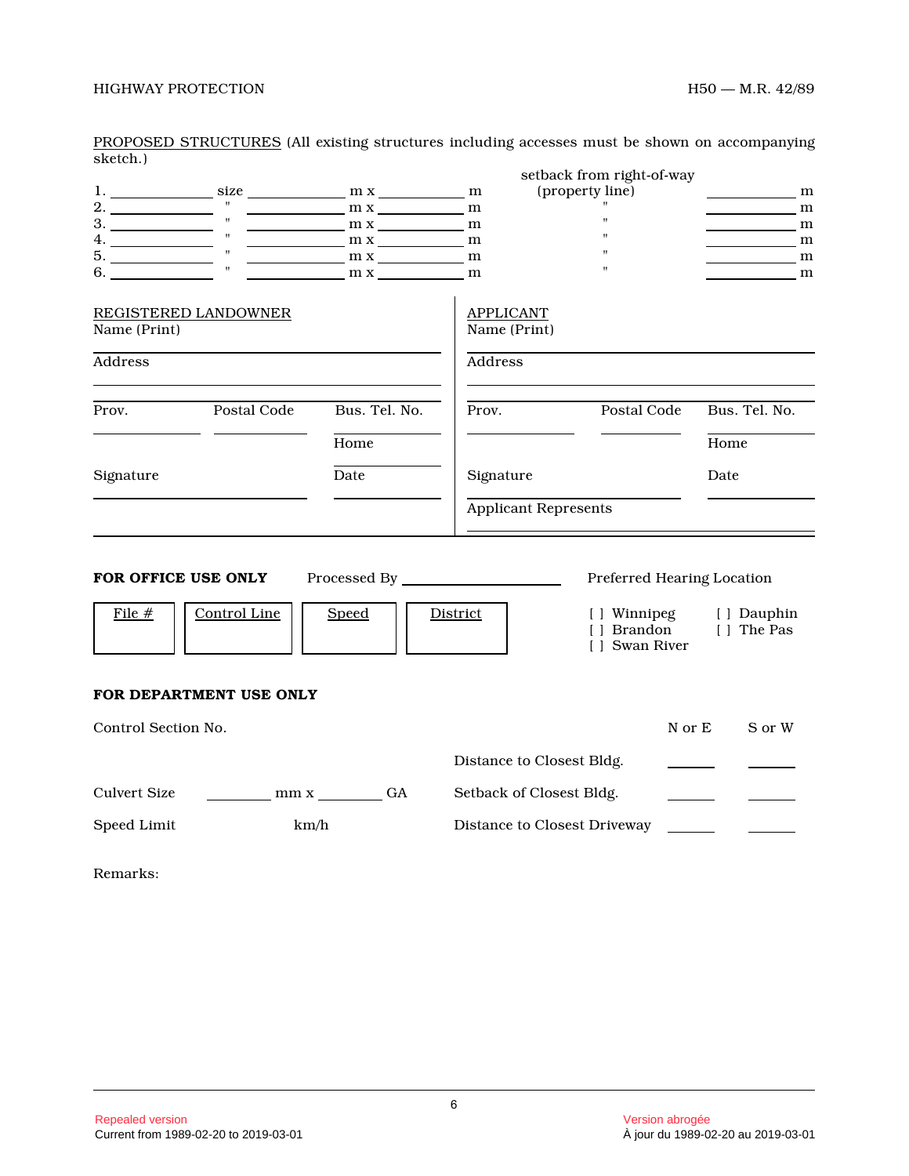|                                                                                                                                                                                                                                                                                                                                                                                                                               |                                                 |               |                                  | setback from right-of-way                                                   |                           |
|-------------------------------------------------------------------------------------------------------------------------------------------------------------------------------------------------------------------------------------------------------------------------------------------------------------------------------------------------------------------------------------------------------------------------------|-------------------------------------------------|---------------|----------------------------------|-----------------------------------------------------------------------------|---------------------------|
|                                                                                                                                                                                                                                                                                                                                                                                                                               |                                                 |               |                                  | (property line)                                                             | m                         |
|                                                                                                                                                                                                                                                                                                                                                                                                                               |                                                 | $m x$ m x m   |                                  |                                                                             | m                         |
| $\overline{3}$ . $\overline{\qquad \qquad}$ $\qquad \qquad$ $\qquad \qquad$ $\qquad \qquad$ $\qquad \qquad$ $\qquad \qquad$ $\qquad \qquad$ $\qquad \qquad$ $\qquad \qquad$ $\qquad \qquad$ $\qquad$ $\qquad \qquad$ $\qquad \qquad$ $\qquad$ $\qquad$ $\qquad$ $\qquad$ $\qquad$ $\qquad$ $\qquad$ $\qquad$ $\qquad$ $\qquad$ $\qquad$ $\qquad$ $\qquad$ $\qquad$ $\qquad$ $\q$                                              | $\mathbf{u}$                                    | $m x$ m x     |                                  | $\mathbf{H}$                                                                | m                         |
| $4.$ $\frac{1}{\sqrt{1-\frac{1}{\sqrt{1-\frac{1}{\sqrt{1-\frac{1}{\sqrt{1-\frac{1}{\sqrt{1-\frac{1}{\sqrt{1-\frac{1}{\sqrt{1-\frac{1}{\sqrt{1-\frac{1}{\sqrt{1-\frac{1}{\sqrt{1-\frac{1}{\sqrt{1-\frac{1}{\sqrt{1-\frac{1}{\sqrt{1-\frac{1}{\sqrt{1-\frac{1}{\sqrt{1-\frac{1}{\sqrt{1-\frac{1}{\sqrt{1-\frac{1}{\sqrt{1-\frac{1}{\sqrt{1-\frac{1}{\sqrt{1-\frac{1}{\sqrt{1-\frac{1}{\sqrt{1-\frac{1}{\sqrt{1-\frac{1}{\sqrt{$ |                                                 | $m x$ m x m x |                                  | $\boldsymbol{\mathsf{H}}$                                                   | $\frac{m}{2}$             |
|                                                                                                                                                                                                                                                                                                                                                                                                                               |                                                 | $m x$ m x m x |                                  | $\pmb{\mathsf{H}}$                                                          | m                         |
|                                                                                                                                                                                                                                                                                                                                                                                                                               | $\mathbf{u}$                                    | $m x$ m       |                                  | $\pmb{\mathsf{H}}$                                                          | m                         |
| Name (Print)                                                                                                                                                                                                                                                                                                                                                                                                                  | <b>REGISTERED LANDOWNER</b>                     |               | <b>APPLICANT</b><br>Name (Print) |                                                                             |                           |
| Address                                                                                                                                                                                                                                                                                                                                                                                                                       |                                                 |               | Address                          |                                                                             |                           |
| Prov.                                                                                                                                                                                                                                                                                                                                                                                                                         | Postal Code                                     | Bus. Tel. No. | Prov.                            | Postal Code                                                                 | Bus. Tel. No.             |
|                                                                                                                                                                                                                                                                                                                                                                                                                               |                                                 | Home          |                                  |                                                                             | Home                      |
| Signature                                                                                                                                                                                                                                                                                                                                                                                                                     |                                                 | Date          | Signature                        |                                                                             | Date                      |
|                                                                                                                                                                                                                                                                                                                                                                                                                               |                                                 |               | <b>Applicant Represents</b>      |                                                                             |                           |
| FOR OFFICE USE ONLY<br>File #                                                                                                                                                                                                                                                                                                                                                                                                 | Control Line                                    | <b>Speed</b>  | District                         | Preferred Hearing Location<br>[ ] Winnipeg<br>[ ] Brandon<br>[ ] Swan River | [ ] Dauphin<br>[] The Pas |
|                                                                                                                                                                                                                                                                                                                                                                                                                               | FOR DEPARTMENT USE ONLY                         |               |                                  |                                                                             |                           |
| Control Section No.                                                                                                                                                                                                                                                                                                                                                                                                           |                                                 |               |                                  |                                                                             | N or E<br>S or W          |
|                                                                                                                                                                                                                                                                                                                                                                                                                               |                                                 |               | Distance to Closest Bldg.        |                                                                             |                           |
| <b>Culvert Size</b>                                                                                                                                                                                                                                                                                                                                                                                                           | $\frac{1}{\sqrt{1-\frac{1}{2}}}\min x \mod{G}A$ |               | Setback of Closest Bldg.         |                                                                             |                           |
| Speed Limit                                                                                                                                                                                                                                                                                                                                                                                                                   | km/h                                            |               |                                  | Distance to Closest Driveway                                                |                           |

PROPOSED STRUCTURES (All existing structures including accesses must be shown on accompanying sketch.)

Remarks: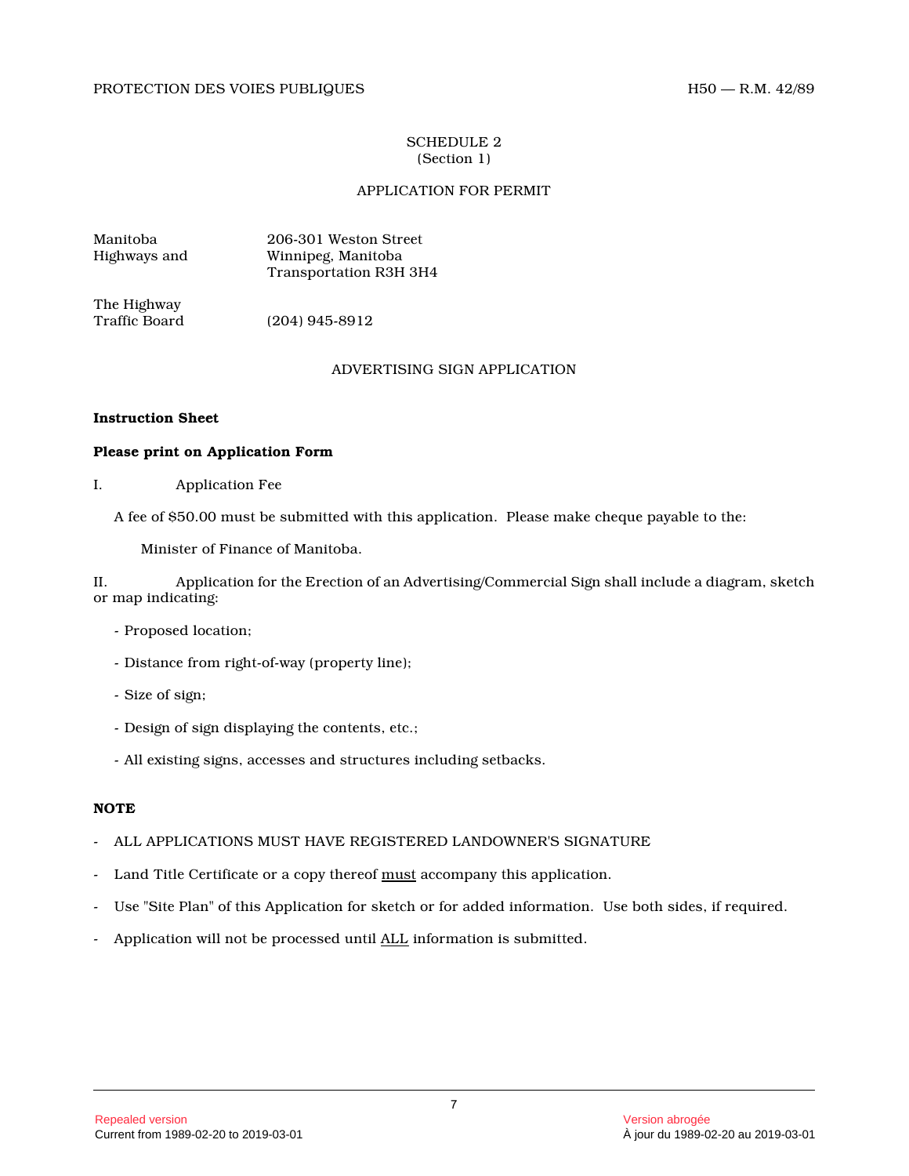## SCHEDULE 2 (Section 1)

## APPLICATION FOR PERMIT

| Manitoba     | 206-301 Weston Street         |
|--------------|-------------------------------|
| Highways and | Winnipeg, Manitoba            |
|              | <b>Transportation R3H 3H4</b> |

The Highway<br>Traffic Board

 $(204)$  945-8912

## ADVERTISING SIGN APPLICATION

## **Instruction Sheet**

## **Please print on Application Form**

I. Application Fee

A fee of \$50.00 must be submitted with this application. Please make cheque payable to the:

Minister of Finance of Manitoba.

II. Application for the Erection of an Advertising/Commercial Sign shall include a diagram, sketch or map indicating:

- Proposed location;
- Distance from right-of-way (property line);
- Size of sign;
- Design of sign displaying the contents, etc.;
- All existing signs, accesses and structures including setbacks.

## **NOTE**

- ALL APPLICATIONS MUST HAVE REGISTERED LANDOWNER'S SIGNATURE
- Land Title Certificate or a copy thereof must accompany this application.
- Use "Site Plan" of this Application for sketch or for added information. Use both sides, if required .
- Application will not be processed until ALL information is submitted.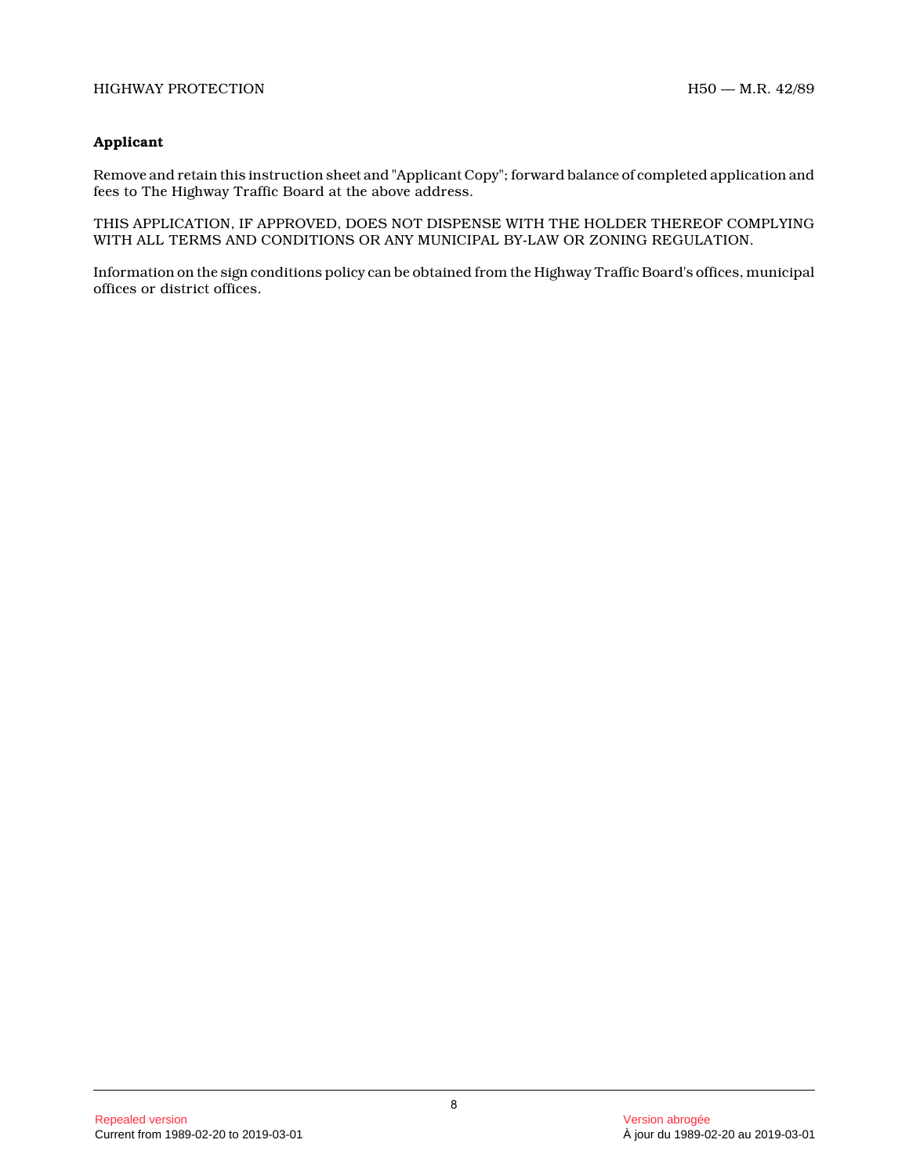## **Applicant**

Remove and retain this instruction sheet and "Applicant Copy"; forward balance of completed application and fees to The Highway Traffic Board at the above address.

THIS APPLICATION, IF APPROVED, DOES NOT DISPENSE WITH THE HOLDER THEREOF COMPLYING WITH ALL TERMS AND CONDITIONS OR ANY MUNICIPAL BY-LAW OR ZONING REGULATION.

Information on the sign conditions policy can be obtained from the Highway Traffic Board's offices, municipal offices or district offices.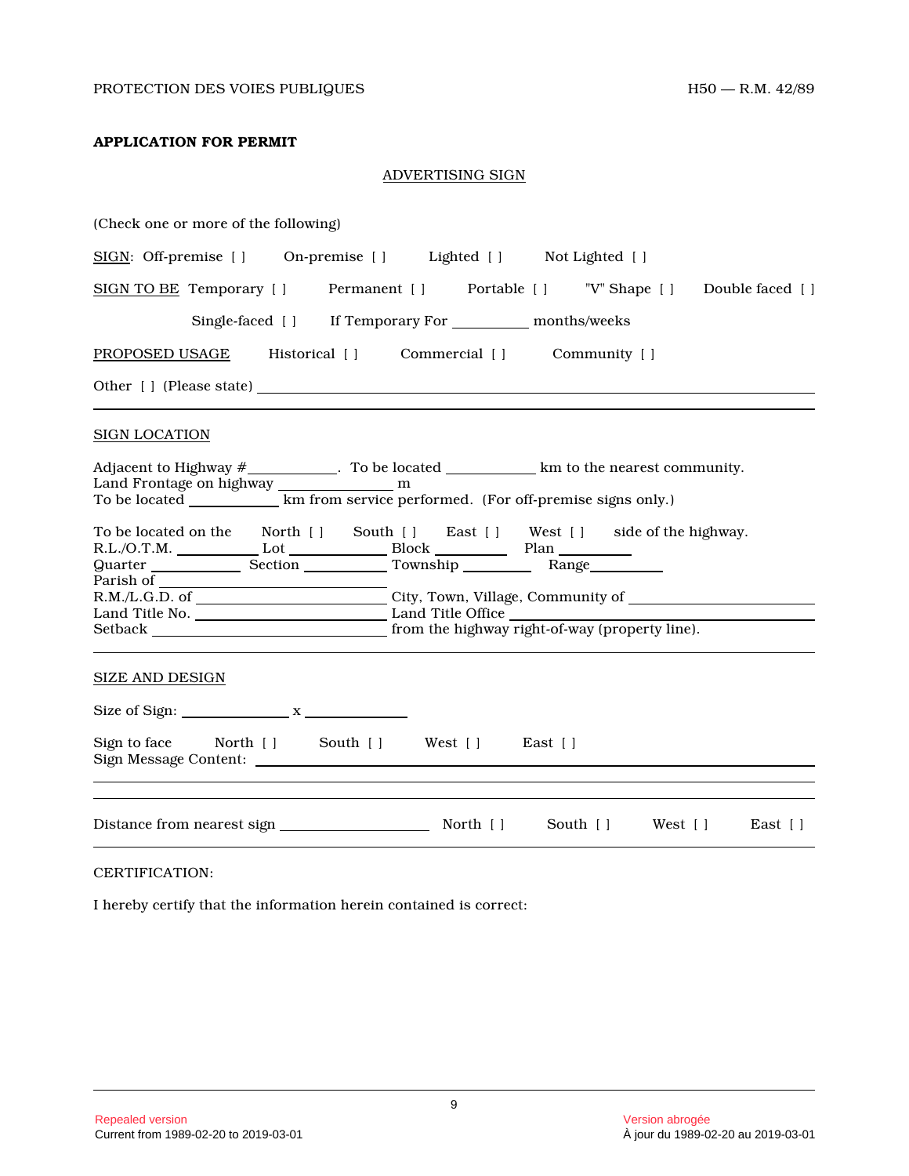## **APPLICATION FOR PERMIT**

## ADVERTISING SIGN

| (Check one or more of the following)                                                                          |
|---------------------------------------------------------------------------------------------------------------|
| SIGN: Off-premise [ ] On-premise [ ] Lighted [ ] Not Lighted [ ]                                              |
| SIGN TO BE Temporary [ ] Permanent [ ] Portable [ ] "V" Shape [ ] Double faced [ ]                            |
| Single-faced [ ] If Temporary For ____________ months/weeks                                                   |
| PROPOSED USAGE Historical [] Commercial [] Community []                                                       |
|                                                                                                               |
| <b>SIGN LOCATION</b>                                                                                          |
| Adjacent to Highway $\#$ _____________. To be located ______________km to the nearest community.              |
| To be located on the North [] South [] East [] West [] side of the highway.<br>Quarter Section Township Range |
| Setback <b>Example 2018</b> from the highway right-of-way (property line).                                    |
| <b>SIZE AND DESIGN</b>                                                                                        |
| Size of Sign: $x_1 + x_2 + x_3 + x_4 + x_5 + x_6$                                                             |
| Sign to face North [] South [] West [] East []                                                                |
| South [ ] West [ ]<br>East [ ]                                                                                |
|                                                                                                               |

CERTIFICATION:

I hereby certify that the information herein contained is correct: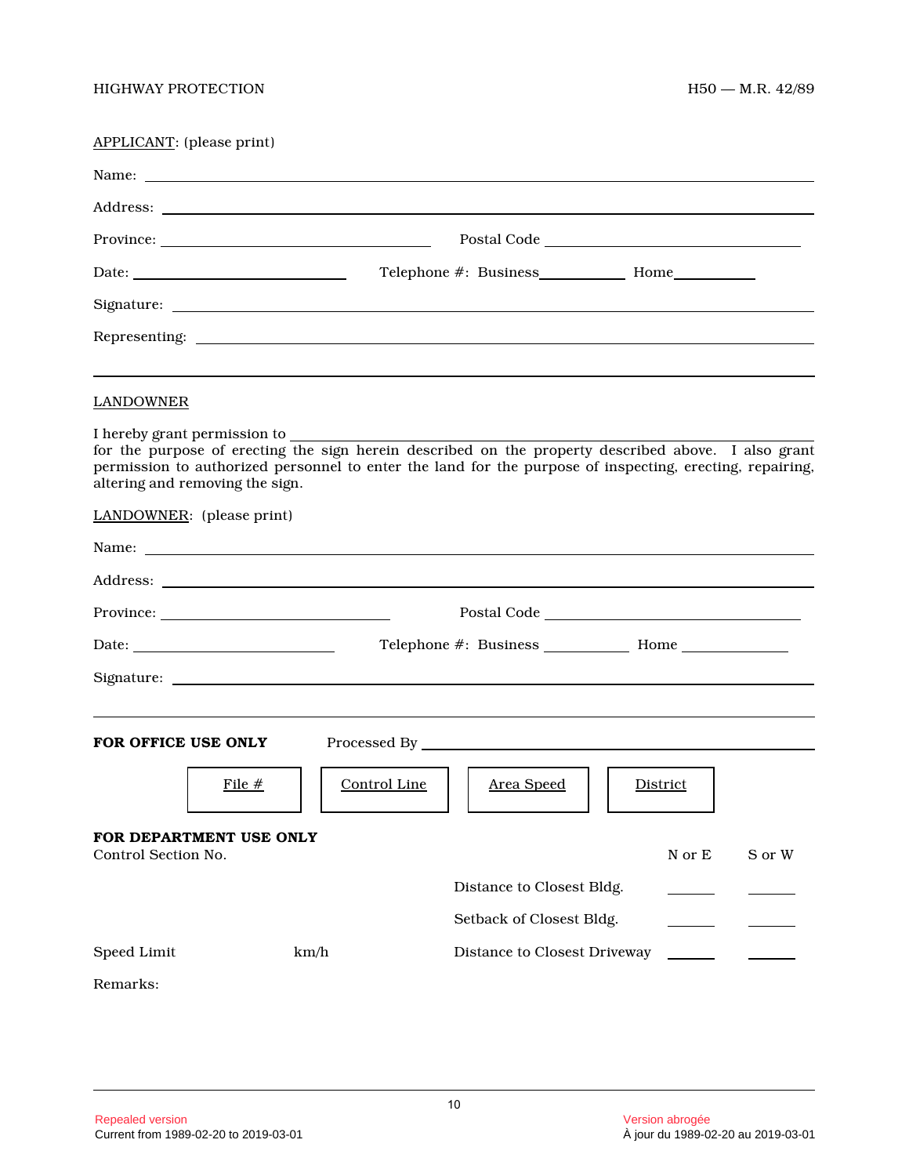| APPLICANT: (please print)                                        |                                                                                                                |                                                                                                                                                                                                                 |
|------------------------------------------------------------------|----------------------------------------------------------------------------------------------------------------|-----------------------------------------------------------------------------------------------------------------------------------------------------------------------------------------------------------------|
|                                                                  |                                                                                                                |                                                                                                                                                                                                                 |
|                                                                  |                                                                                                                |                                                                                                                                                                                                                 |
|                                                                  |                                                                                                                | Postal Code Postal Code                                                                                                                                                                                         |
|                                                                  |                                                                                                                |                                                                                                                                                                                                                 |
|                                                                  |                                                                                                                |                                                                                                                                                                                                                 |
|                                                                  |                                                                                                                |                                                                                                                                                                                                                 |
| <b>LANDOWNER</b>                                                 |                                                                                                                |                                                                                                                                                                                                                 |
| I hereby grant permission to<br>altering and removing the sign.  |                                                                                                                | for the purpose of erecting the sign herein described on the property described above. I also grant<br>permission to authorized personnel to enter the land for the purpose of inspecting, erecting, repairing, |
| LANDOWNER: (please print)                                        |                                                                                                                |                                                                                                                                                                                                                 |
|                                                                  | Name: 2008. 2008. 2010. 2010. 2010. 2010. 2010. 2010. 2010. 2010. 2010. 2010. 2010. 2010. 2010. 2010. 2010. 20 |                                                                                                                                                                                                                 |
|                                                                  |                                                                                                                |                                                                                                                                                                                                                 |
|                                                                  |                                                                                                                |                                                                                                                                                                                                                 |
| Date: $\frac{1}{\sqrt{1-\frac{1}{2}}\left(1-\frac{1}{2}\right)}$ |                                                                                                                |                                                                                                                                                                                                                 |
|                                                                  |                                                                                                                |                                                                                                                                                                                                                 |
| FOR OFFICE USE ONLY                                              |                                                                                                                |                                                                                                                                                                                                                 |
|                                                                  | File #<br>Control Line                                                                                         | Area Speed<br>District                                                                                                                                                                                          |
| FOR DEPARTMENT USE ONLY<br>Control Section No.                   |                                                                                                                | N or E<br>S or W                                                                                                                                                                                                |
|                                                                  |                                                                                                                | Distance to Closest Bldg.                                                                                                                                                                                       |
|                                                                  |                                                                                                                | Setback of Closest Bldg.                                                                                                                                                                                        |
| Speed Limit                                                      | km/h                                                                                                           | Distance to Closest Driveway                                                                                                                                                                                    |
| Remarks:                                                         |                                                                                                                |                                                                                                                                                                                                                 |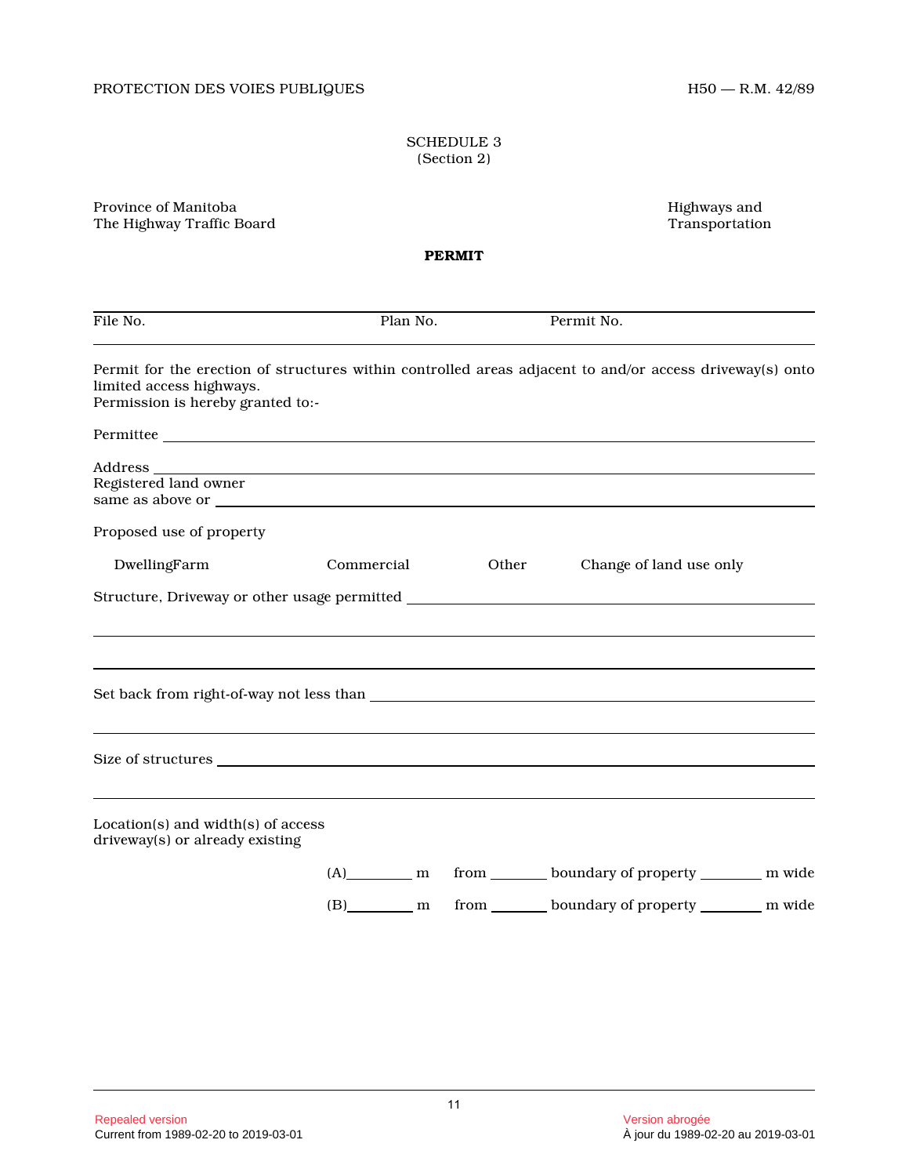## SCHEDULE 3 (Section 2)

Province of Manitoba Highways and The Highway Traffic Board

**PERMIT**

| File No.                                                                                                                                                                  | Plan No.   |              | Permit No.                                                         |  |
|---------------------------------------------------------------------------------------------------------------------------------------------------------------------------|------------|--------------|--------------------------------------------------------------------|--|
| Permit for the erection of structures within controlled areas adjacent to and/or access driveway(s) onto<br>limited access highways.<br>Permission is hereby granted to:- |            |              |                                                                    |  |
| Permittee                                                                                                                                                                 |            |              |                                                                    |  |
| Registered land owner                                                                                                                                                     |            |              |                                                                    |  |
| Proposed use of property                                                                                                                                                  |            |              |                                                                    |  |
| DwellingFarm                                                                                                                                                              | Commercial | <b>Other</b> | Change of land use only                                            |  |
|                                                                                                                                                                           |            |              |                                                                    |  |
|                                                                                                                                                                           |            |              |                                                                    |  |
|                                                                                                                                                                           |            |              |                                                                    |  |
| $Location(s)$ and width $(s)$ of access<br>driveway(s) or already existing                                                                                                |            |              |                                                                    |  |
|                                                                                                                                                                           |            |              | (A) m from boundary of property m wide                             |  |
|                                                                                                                                                                           |            |              | (B) ________ m from ________ boundary of property _________ m wide |  |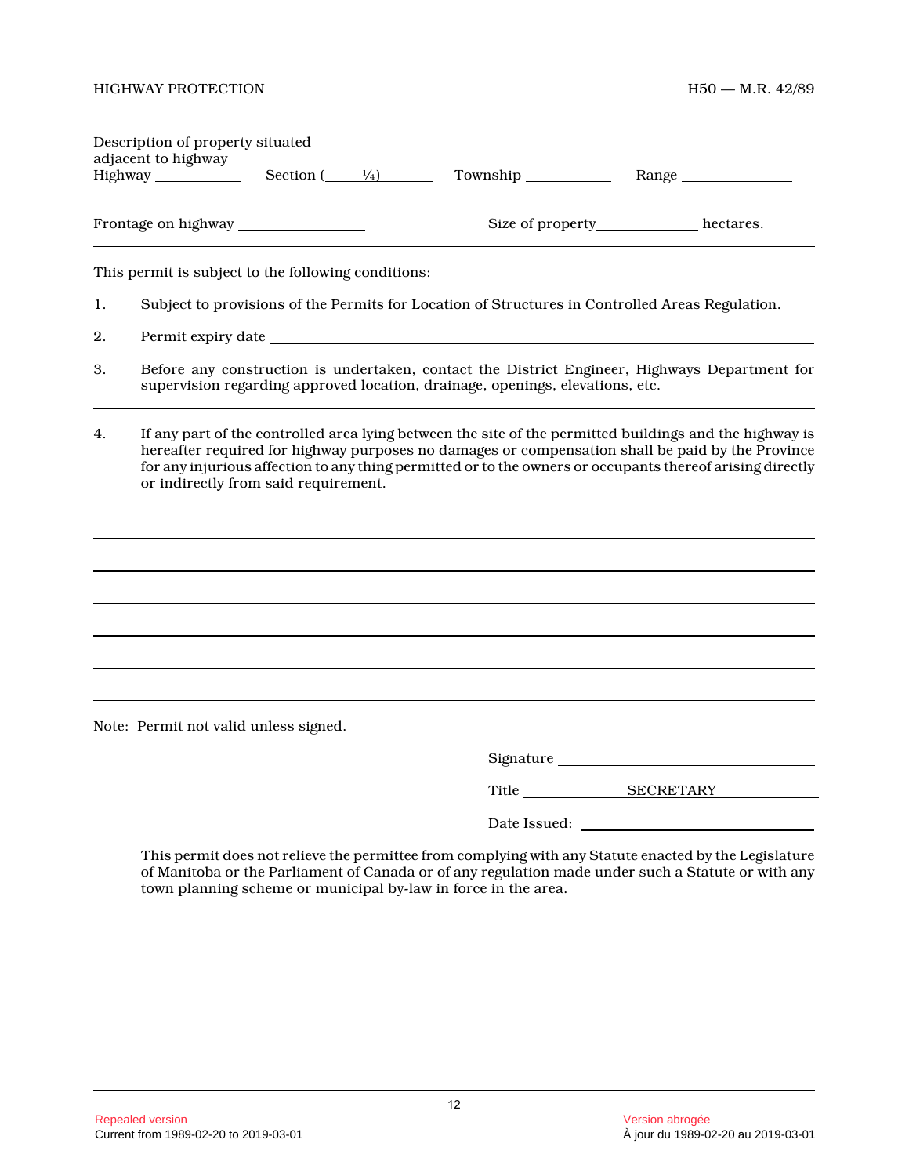| Description of property situated<br>adjacent to highway | $\frac{1}{4}$<br>Section ( | Township         | Range     |
|---------------------------------------------------------|----------------------------|------------------|-----------|
| Frontage on highway                                     |                            | Size of property | hectares. |

This permit is subject to the following conditions:

- 1. Subject to provisions of the Permits for Location of Structures in Controlled Areas Regulation.
- 2. Permit expiry date
- 3. Before any construction is undertaken, contact the District Engineer, Highways Department for supervision regarding approved location, drainage, openings, elevations, etc.
- 4. If any part of the controlled area lying between the site of the permitted buildings and the highway is hereafter required for highway purposes no damages or compensation shall be paid by the Province for any injurious affection to any thing permitted or to the owners or occupants thereof arising directly or indirectly from said requirement.

Note: Permit not valid unless signed.

| Signature |  |
|-----------|--|
|           |  |

Title SECRETARY

Date Issued: \_\_\_\_\_\_\_

This permit does not relieve the permittee from complying with any Statute enacted by the Legislature of Manitoba or the Parliament of Canada or of any regulation made under such a Statute or with any town planning scheme or municipal by-law in force in the area.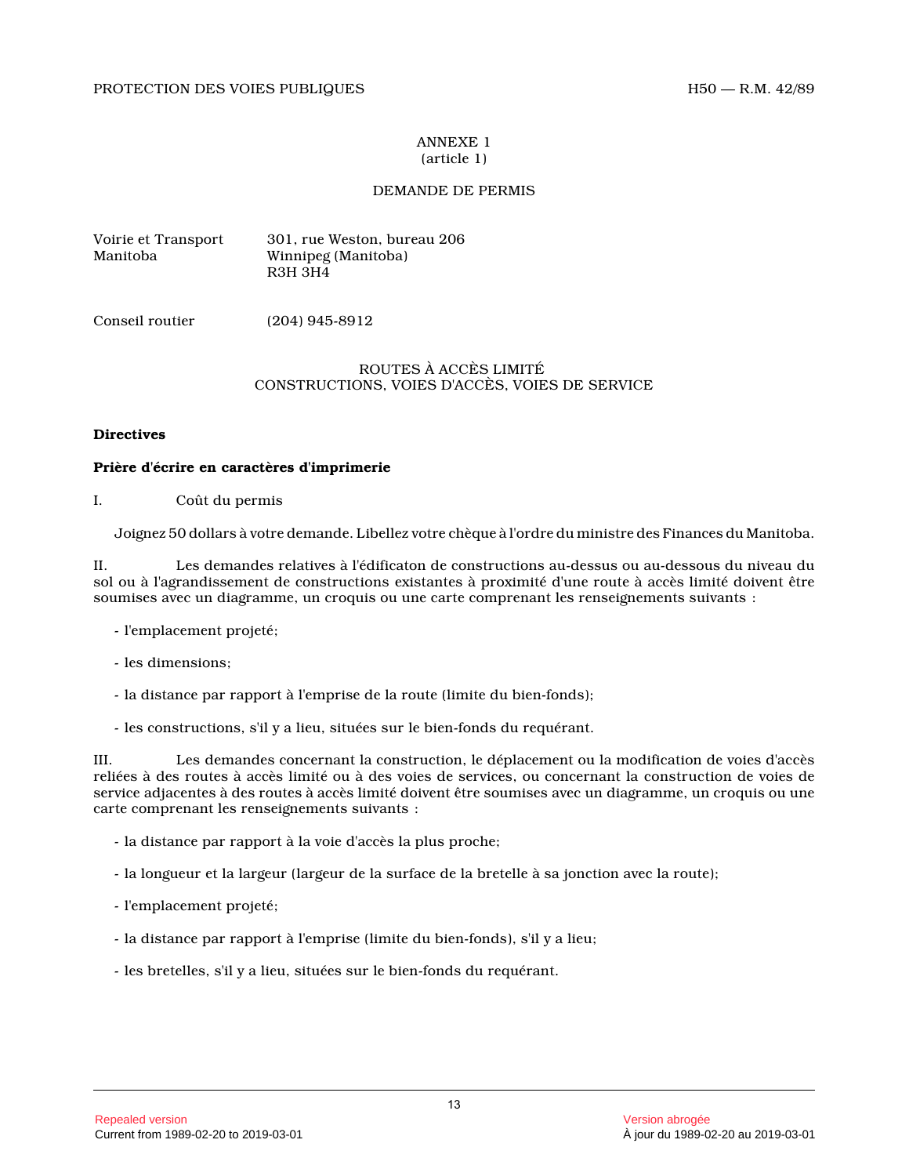#### ANNEXE 1 (article 1)

## DEMANDE DE PERMIS

| Voirie et Transport | 301, rue Weston, bureau 206 |
|---------------------|-----------------------------|
| Manitoba            | Winnipeg (Manitoba)         |
|                     | R3H 3H4                     |

Conseil routier (204) 945-8912

## ROUTES À ACCÈS LIMITÉ CONSTRUCTIONS, VOIES D'ACCÈS, VOIES DE SERVICE

## **Directives**

## **Prière d'écrire en caractères d'imprimerie**

I. Coût du permis

Joignez 50 dollars à votre demande. Libellez votre chèque à l'ordre du ministre des Finances du Manitoba.

II. Les demandes relatives à l'édificaton de constructions au-dessus ou au-dessous du niveau du sol ou à l'agrandissement de constructions existantes à proximité d'une route à accès limité doivent être soumises avec un diagramme, un croquis ou une carte comprenant les renseignements suivants :

- l'emplacement projeté;
- les dimensions;
- la distance par rapport à l'emprise de la route (limite du bien-fonds);
- les constructions, s'il y a lieu, situées sur le bien-fonds du requérant.

III. Les demandes concernant la construction, le déplacement ou la modification de voies d'accès reliées à des routes à accès limité ou à des voies de services, ou concernant la construction de voies de service adjacentes à des routes à accès limité doivent être soumises avec un diagramme, un croquis ou une carte comprenant les renseignements suivants :

- la distance par rapport à la voie d'accès la plus proche;
- la longueur et la largeur (largeur de la surface de la bretelle à sa jonction avec la route);
- l'emplacement projeté;
- la distance par rapport à l'emprise (limite du bien-fonds), s'il y a lieu;
- les bretelles, s'il y a lieu, situées sur le bien-fonds du requérant.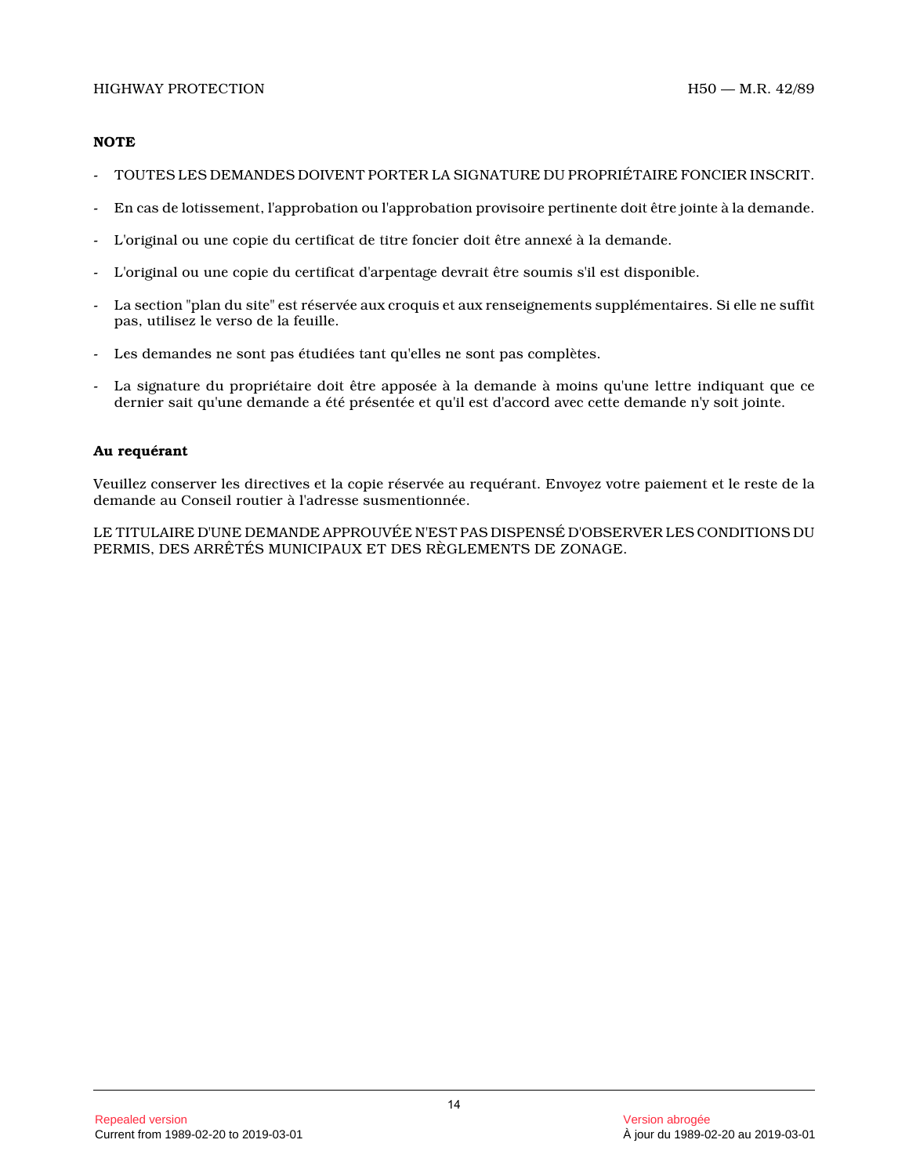## **NOTE**

- TOUTES LES DEMANDES DOIVENT PORTER LA SIGNATURE DU PROPRIÉTAIRE FONCIER INSCRIT.
- En cas de lotissement, l'approbation ou l'approbation provisoire pertinente doit être jointe à la demande.
- L'original ou une copie du certificat de titre foncier doit être annexé à la demande.
- L'original ou une copie du certificat d'arpentage devrait être soumis s'il est disponible.
- La section "plan du site" est réservée aux croquis et aux renseignements supplémentaires. Si elle ne suffit pas, utilisez le verso de la feuille.
- Les demandes ne sont pas étudiées tant qu'elles ne sont pas complètes.
- La signature du propriétaire doit être apposée à la demande à moins qu'une lettre indiquant que ce dernier sait qu'une demande a été présentée et qu'il est d'accord avec cette demande n'y soit jointe.

## **Au requérant**

Veuillez conserver les directives et la copie réservée au requérant. Envoyez votre paiement et le reste de la demande au Conseil routier à l'adresse susmentionnée.

LE TITULAIRE D'UNE DEMANDE APPROUVÉE N'EST PAS DISPENSÉ D'OBSERVER LES CONDITIONS DU PERMIS, DES ARRÊTÉS MUNICIPAUX ET DES RÈGLEMENTS DE ZONAGE.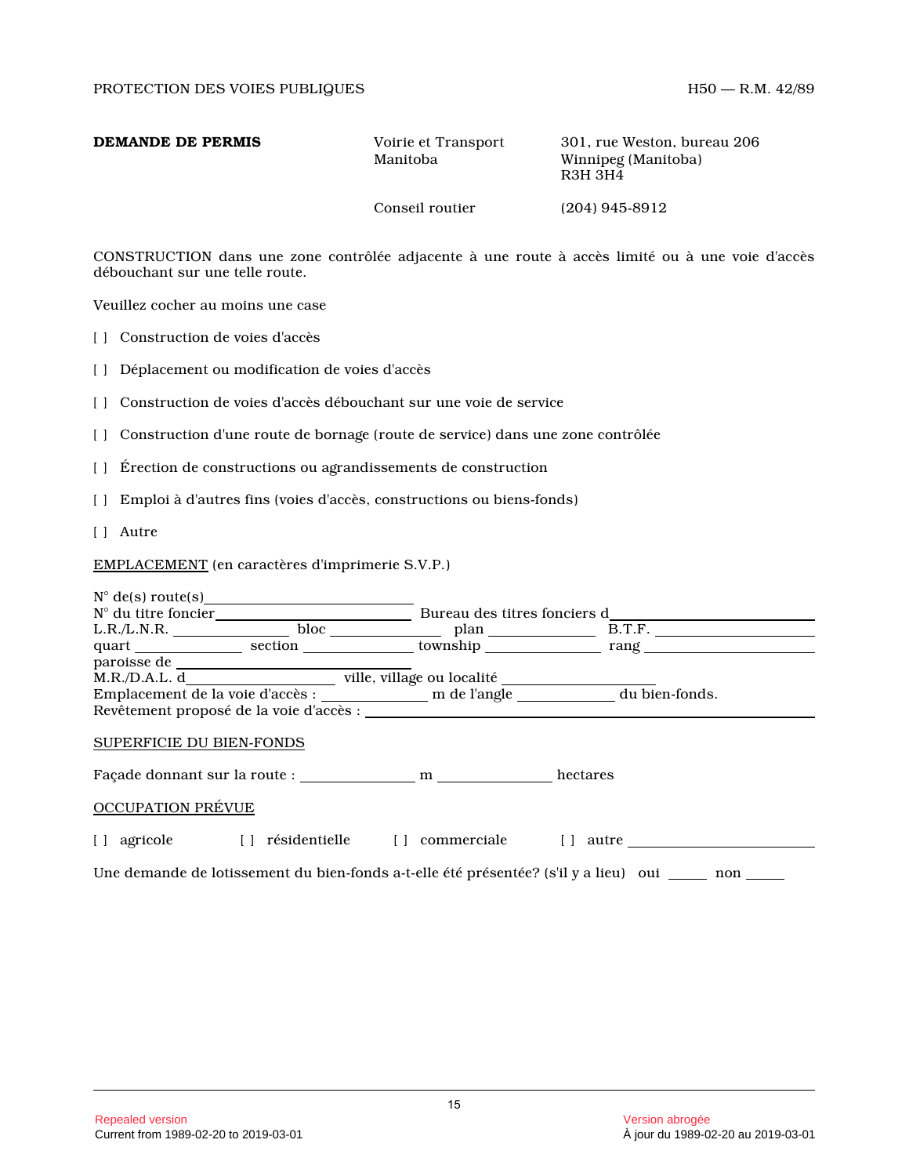| DEMANDE DE PERMIS | Voirie et Transport<br>Manitoba | 301, rue Weston, bureau 206<br>Winnipeg (Manitoba)<br>R3H 3H4 |
|-------------------|---------------------------------|---------------------------------------------------------------|
|                   | Conseil routier                 | $(204)$ 945-8912                                              |

CONSTRUCTION dans une zone contrôlée adjacente à une route à accès limité ou à une voie d'accès débouchant sur une telle route.

Veuillez cocher au moins une case

[ ] Construction de voies d'accès

[ ] Déplacement ou modification de voies d'accès

- [ ] Construction de voies d'accès débouchant sur une voie de service
- [ ] Construction d'une route de bornage (route de service) dans une zone contrôlée
- [ ] Érection de constructions ou agrandissements de construction
- [ ] Emploi à d'autres fins (voies d'accès, constructions ou biens-fonds)
- [ ] Autre

EMPLACEMENT (en caractères d'imprimerie S.V.P.)

| $N^{\circ}$ de(s) route(s)   |                                                                      |                                         |                              |  |  |
|------------------------------|----------------------------------------------------------------------|-----------------------------------------|------------------------------|--|--|
| $N^{\circ}$ du titre foncier |                                                                      |                                         | Bureau des titres fonciers d |  |  |
| L.R./L.N.R.                  |                                                                      | bloc $\qquad \qquad \qquad$ plan        | B.T.F.                       |  |  |
|                              |                                                                      | section contract township               | rang                         |  |  |
|                              |                                                                      |                                         |                              |  |  |
|                              | M.R./D.A.L. d____________________________ ville, village ou localité |                                         |                              |  |  |
|                              |                                                                      |                                         |                              |  |  |
|                              |                                                                      | Revêtement proposé de la voie d'accès : |                              |  |  |
| SUPERFICIE DU BIEN-FONDS     |                                                                      |                                         |                              |  |  |
|                              | Façade donnant sur la route : m                                      |                                         | hectares                     |  |  |
| <b>OCCUPATION PRÉVUE</b>     |                                                                      |                                         |                              |  |  |
| agricole                     | résidentielle []<br>$\blacksquare$                                   | commerciale                             | autre                        |  |  |
|                              |                                                                      |                                         |                              |  |  |

Une demande de lotissement du bien-fonds a-t-elle été présentée? (s'il y a lieu) oui \_\_\_\_ non \_\_\_\_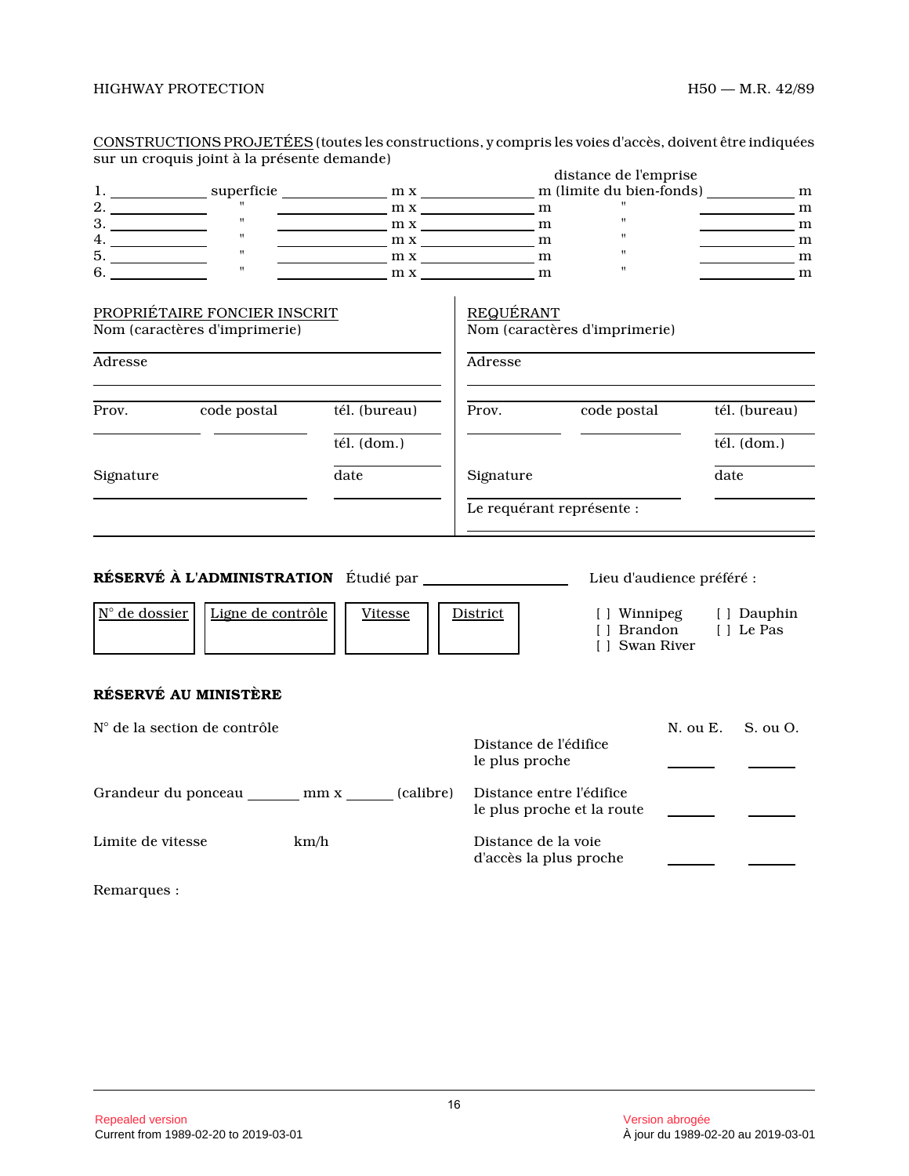|                        |                                                               | <u>cono i Roc i iono i Robe i eeo</u> (ioales les consu actions, y compi is les voles u acces, doivent eu c'indiquees |                                               |                                        |                                            |
|------------------------|---------------------------------------------------------------|-----------------------------------------------------------------------------------------------------------------------|-----------------------------------------------|----------------------------------------|--------------------------------------------|
|                        | sur un croquis joint à la présente demande)                   |                                                                                                                       |                                               |                                        |                                            |
|                        |                                                               |                                                                                                                       |                                               | distance de l'emprise                  |                                            |
|                        |                                                               |                                                                                                                       |                                               |                                        |                                            |
|                        |                                                               | $m x$ m x m x                                                                                                         |                                               |                                        | $\frac{m}{m}$                              |
|                        | $\mathbf{u}$                                                  | $m x$ m x m x                                                                                                         |                                               | $\pmb{\mathsf{H}}$                     | $\frac{1}{\sqrt{1-\frac{1}{2}}}\mathbf{m}$ |
| $\frac{4}{5}$ .        | $\mathbf{u}^{\top}$                                           | $m x$ m x m m m                                                                                                       |                                               | $\mathbf{H}$                           | $\frac{1}{\sqrt{1-\frac{1}{2}}}\text{m}$   |
|                        | $\frac{1}{n}$                                                 | $m x$ m x m                                                                                                           |                                               | $\mathbf{H}$                           | $\frac{1}{2}$ m                            |
|                        | $\mathbf{u}$                                                  | $\frac{m x}{m}$ m x                                                                                                   |                                               | $\mathbf{H}$                           | $\frac{1}{\sqrt{1-\frac{1}{2}}}\mathbf{m}$ |
|                        | PROPRIÉTAIRE FONCIER INSCRIT<br>Nom (caractères d'imprimerie) |                                                                                                                       | REQUÉRANT                                     | Nom (caractères d'imprimerie)          |                                            |
|                        |                                                               |                                                                                                                       |                                               |                                        |                                            |
| Adresse                |                                                               |                                                                                                                       | Adresse                                       |                                        |                                            |
|                        | Prov. code postal                                             | tél. (bureau)                                                                                                         |                                               | Prov. code postal                      | tél. (bureau)                              |
|                        |                                                               | tél. (dom.)                                                                                                           |                                               |                                        | tél. (dom.)                                |
| Signature              |                                                               | date                                                                                                                  | Signature                                     |                                        | date                                       |
|                        |                                                               |                                                                                                                       |                                               | Le requérant représente :              |                                            |
|                        |                                                               |                                                                                                                       |                                               |                                        |                                            |
|                        |                                                               |                                                                                                                       |                                               |                                        |                                            |
|                        |                                                               |                                                                                                                       |                                               | Lieu d'audience préféré :              |                                            |
| $N^{\circ}$ de dossier | Ligne de contrôle                                             | Vitesse                                                                                                               | District                                      | [] Brandon [] Le Pas<br>[ ] Swan River | [] Winnipeg [] Dauphin                     |
|                        | RÉSERVÉ AU MINISTÈRE                                          |                                                                                                                       |                                               |                                        |                                            |
|                        | N° de la section de contrôle                                  |                                                                                                                       |                                               |                                        | N. ou E.<br>S. ou O.                       |
|                        |                                                               |                                                                                                                       | Distance de l'édifice<br>le plus proche       |                                        |                                            |
|                        |                                                               | Grandeur du ponceau _______ mm x ______ (calibre)                                                                     | Distance entre l'édifice                      | le plus proche et la route             |                                            |
| Limite de vitesse      |                                                               | km/h                                                                                                                  | Distance de la voie<br>d'accès la plus proche |                                        |                                            |

CONSTRUCTIONS PROJETÉES (toutes les constructions, y compris les voies d'accès, doivent être indiquées

Remarques :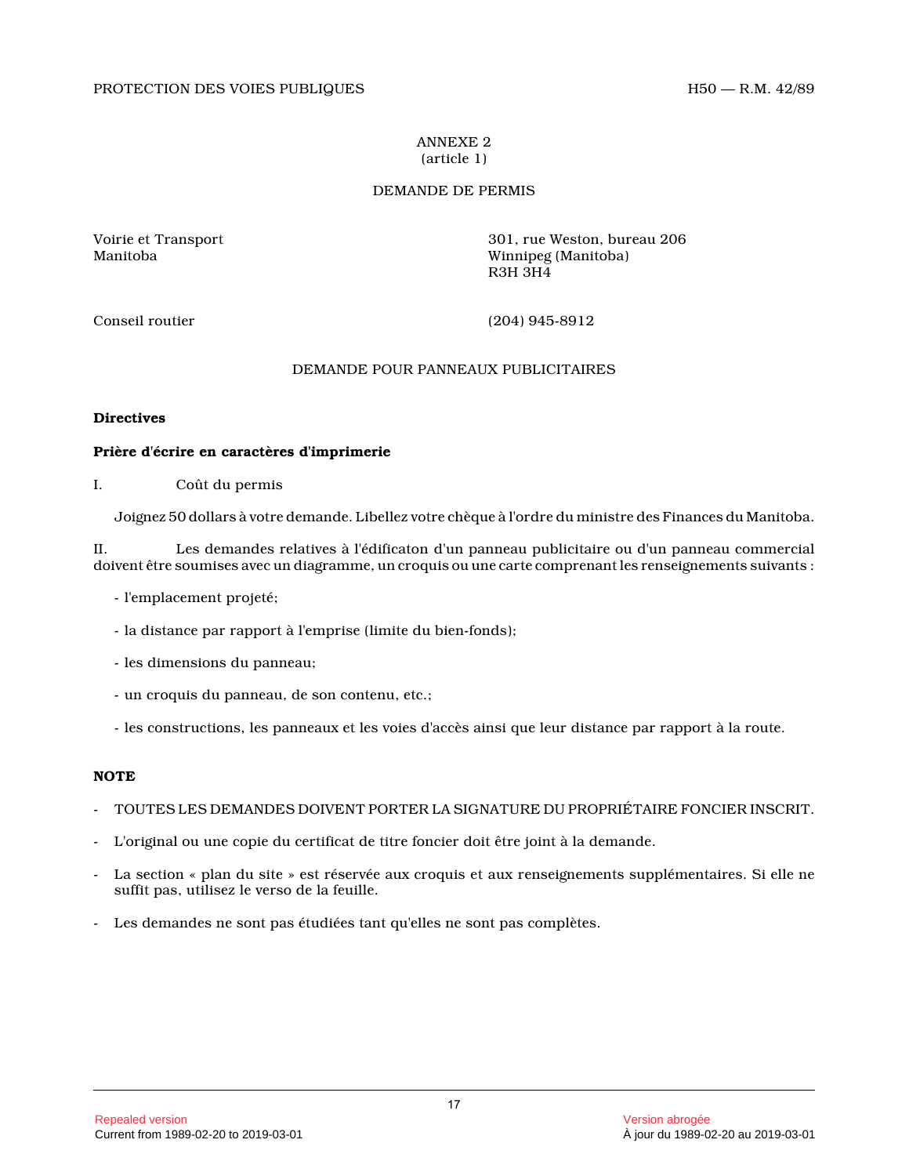### ANNEXE 2 (article 1)

## DEMANDE DE PERMIS

Voirie et Transport 301, rue Weston, bureau 206 Winnipeg (Manitoba) R3H 3H4

Conseil routier (204) 945-8912

## DEMANDE POUR PANNEAUX PUBLICITAIRES

## **Directives**

## **Prière d'écrire en caractères d'imprimerie**

I. Coût du permis

Joignez 50 dollars à votre demande. Libellez votre chèque à l'ordre du ministre des Finances du Manitoba.

II. Les demandes relatives à l'édificaton d'un panneau publicitaire ou d'un panneau commercial doivent être soumises avec un diagramme, un croquis ou une carte comprenant les renseignements suivants :

- l'emplacement projeté;
- la distance par rapport à l'emprise (limite du bien-fonds);
- les dimensions du panneau;
- un croquis du panneau, de son contenu, etc.;
- les constructions, les panneaux et les voies d'accès ainsi que leur distance par rapport à la route.

## **NOTE**

- TOUTES LES DEMANDES DOIVENT PORTER LA SIGNATURE DU PROPRIÉTAIRE FONCIER INSCRIT.
- L'original ou une copie du certificat de titre foncier doit être joint à la demande.
- La section « plan du site » est réservée aux croquis et aux renseignements supplémentaires. Si elle ne suffit pas, utilisez le verso de la feuille.
- Les demandes ne sont pas étudiées tant qu'elles ne sont pas complètes.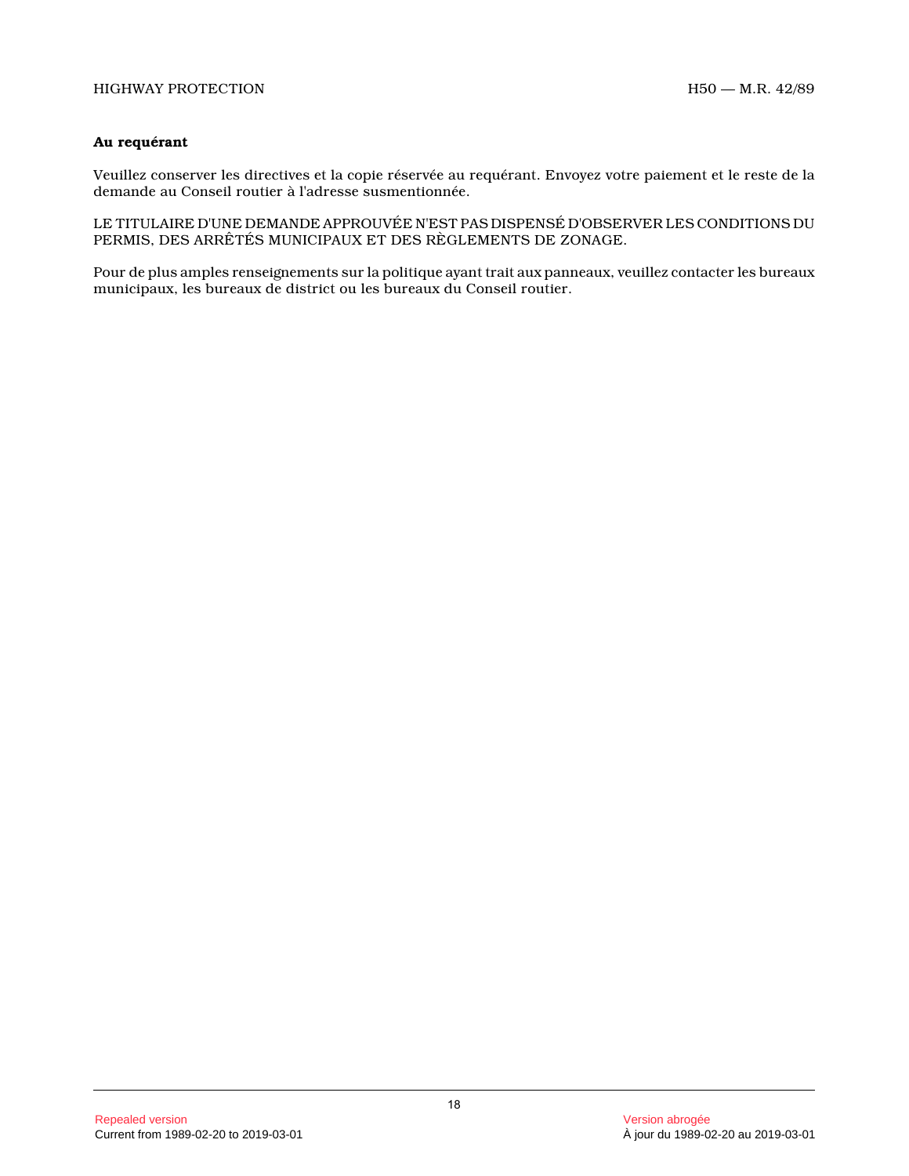## **Au requérant**

Veuillez conserver les directives et la copie réservée au requérant. Envoyez votre paiement et le reste de la demande au Conseil routier à l'adresse susmentionnée.

LE TITULAIRE D'UNE DEMANDE APPROUVÉE N'EST PAS DISPENSÉ D'OBSERVER LES CONDITIONS DU PERMIS, DES ARRÊTÉS MUNICIPAUX ET DES RÈGLEMENTS DE ZONAGE.

Pour de plus amples renseignements sur la politique ayant trait aux panneaux, veuillez contacter les bureaux municipaux, les bureaux de district ou les bureaux du Conseil routier.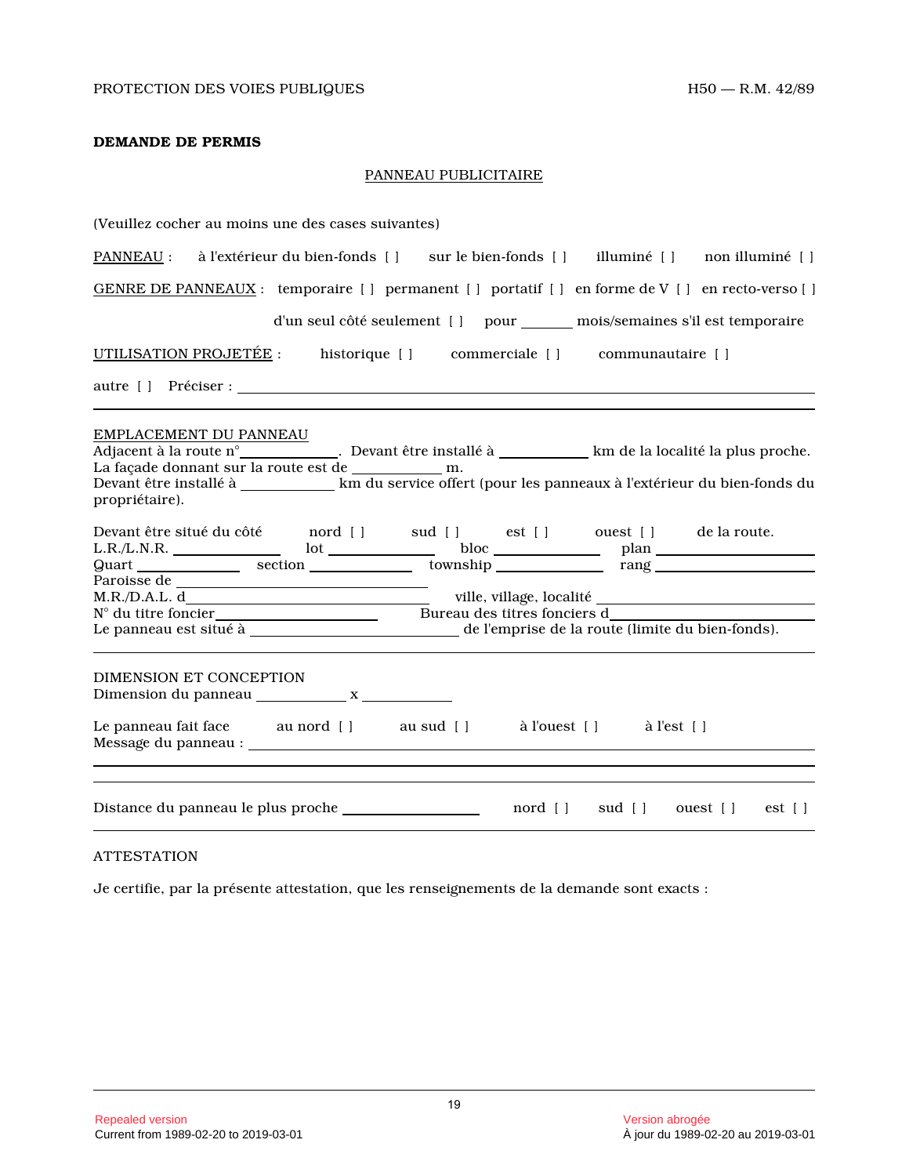## **DEMANDE DE PERMIS**

## PANNEAU PUBLICITAIRE

| (Veuillez cocher au moins une des cases suivantes)                                                                                                                                                                                                                  |
|---------------------------------------------------------------------------------------------------------------------------------------------------------------------------------------------------------------------------------------------------------------------|
| PANNEAU : à l'extérieur du bien-fonds [] sur le bien-fonds [] illuminé [] non illuminé []                                                                                                                                                                           |
| GENRE DE PANNEAUX : temporaire [ ] permanent [ ] portatif [ ] en forme de V [ ] en recto-verso [ ]                                                                                                                                                                  |
| d'un seul côté seulement [] pour _______ mois/semaines s'il est temporaire                                                                                                                                                                                          |
| UTILISATION PROJETÉE : historique [ ] commerciale [ ] communautaire [ ]                                                                                                                                                                                             |
| autre [] Préciser :                                                                                                                                                                                                                                                 |
| EMPLACEMENT DU PANNEAU<br>Adjacent à la route n° _____________. Devant être installé à ___________km de la localité la plus proche.<br>Devant être installé à ____________ km du service offert (pour les panneaux à l'extérieur du bien-fonds du<br>propriétaire). |
|                                                                                                                                                                                                                                                                     |
| DIMENSION ET CONCEPTION<br>Le panneau fait face au nord [] au sud [] à l'ouest [] à l'est []                                                                                                                                                                        |
|                                                                                                                                                                                                                                                                     |
| nord [] sud [] ouest [] est []                                                                                                                                                                                                                                      |

## ATTESTATION

Je certifie, par la présente attestation, que les renseignements de la demande sont exacts :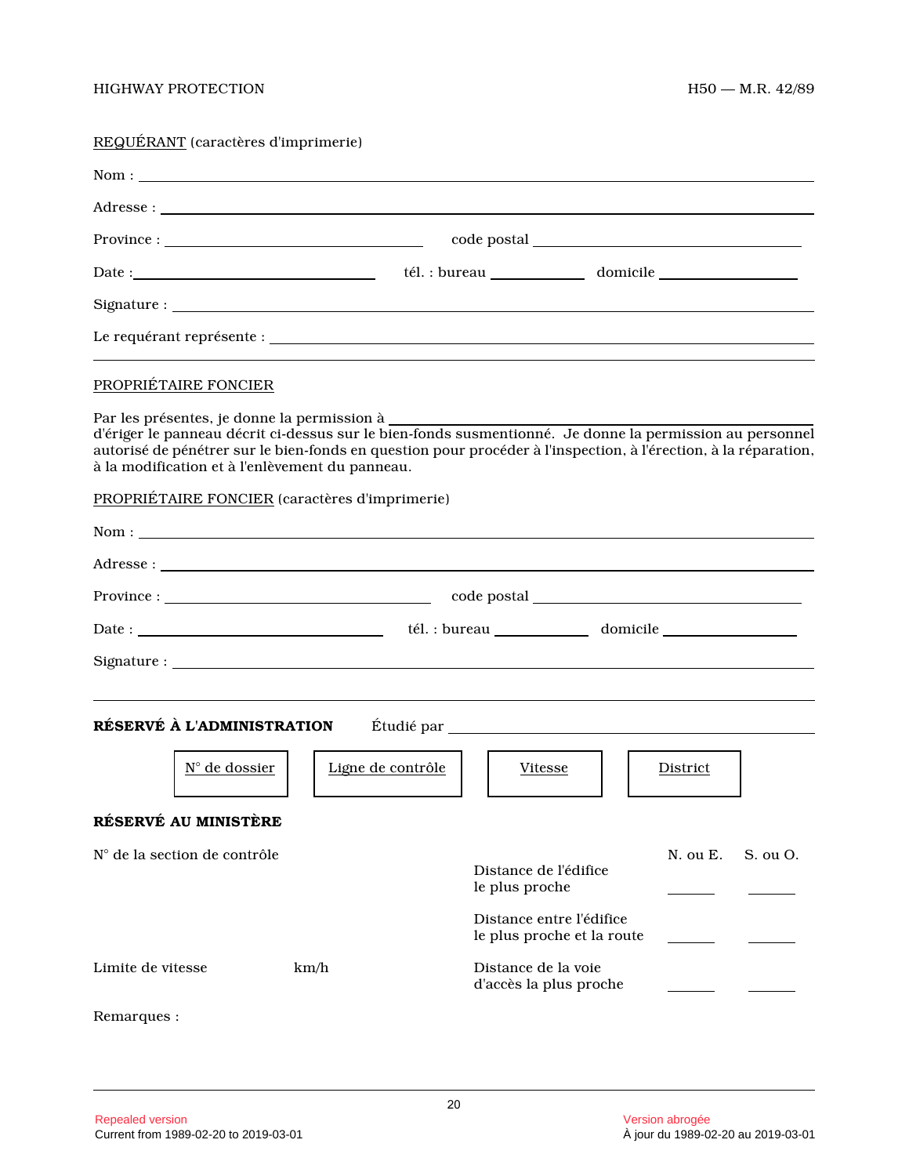# REQUÉRANT (caractères d'imprimerie)

|                                                                                                                                                                                                                                                                                                                                                                                                                          | $Province: \_$    |                                                                                                   |          |          |  |  |
|--------------------------------------------------------------------------------------------------------------------------------------------------------------------------------------------------------------------------------------------------------------------------------------------------------------------------------------------------------------------------------------------------------------------------|-------------------|---------------------------------------------------------------------------------------------------|----------|----------|--|--|
|                                                                                                                                                                                                                                                                                                                                                                                                                          |                   |                                                                                                   |          |          |  |  |
|                                                                                                                                                                                                                                                                                                                                                                                                                          |                   |                                                                                                   |          |          |  |  |
|                                                                                                                                                                                                                                                                                                                                                                                                                          |                   |                                                                                                   |          |          |  |  |
| PROPRIÉTAIRE FONCIER<br>Par les présentes, je donne la permission à<br>d'ériger le panneau décrit ci-dessus sur le bien-fonds susmentionné. Je donne la permission au personnel<br>autorisé de pénétrer sur le bien-fonds en question pour procéder à l'inspection, à l'érection, à la réparation,<br>à la modification et à l'enlèvement du panneau.<br>PROPRIÉTAIRE FONCIER (caractères d'imprimerie)<br>$\text{Nom}:$ |                   |                                                                                                   |          |          |  |  |
|                                                                                                                                                                                                                                                                                                                                                                                                                          |                   |                                                                                                   |          |          |  |  |
|                                                                                                                                                                                                                                                                                                                                                                                                                          |                   |                                                                                                   |          |          |  |  |
|                                                                                                                                                                                                                                                                                                                                                                                                                          |                   |                                                                                                   |          |          |  |  |
| RÉSERVÉ À L'ADMINISTRATION<br><u>N° de dossier</u><br>RÉSERVÉ AU MINISTÈRE                                                                                                                                                                                                                                                                                                                                               | Ligne de contrôle | Vitesse                                                                                           | District |          |  |  |
| N° de la section de contrôle                                                                                                                                                                                                                                                                                                                                                                                             |                   | Distance de l'édifice<br>le plus proche<br>Distance entre l'édifice<br>le plus proche et la route | N. ou E. | S. ou O. |  |  |
| Limite de vitesse                                                                                                                                                                                                                                                                                                                                                                                                        | km/h              | Distance de la voie<br>d'accès la plus proche                                                     |          |          |  |  |
| Remarques :                                                                                                                                                                                                                                                                                                                                                                                                              |                   |                                                                                                   |          |          |  |  |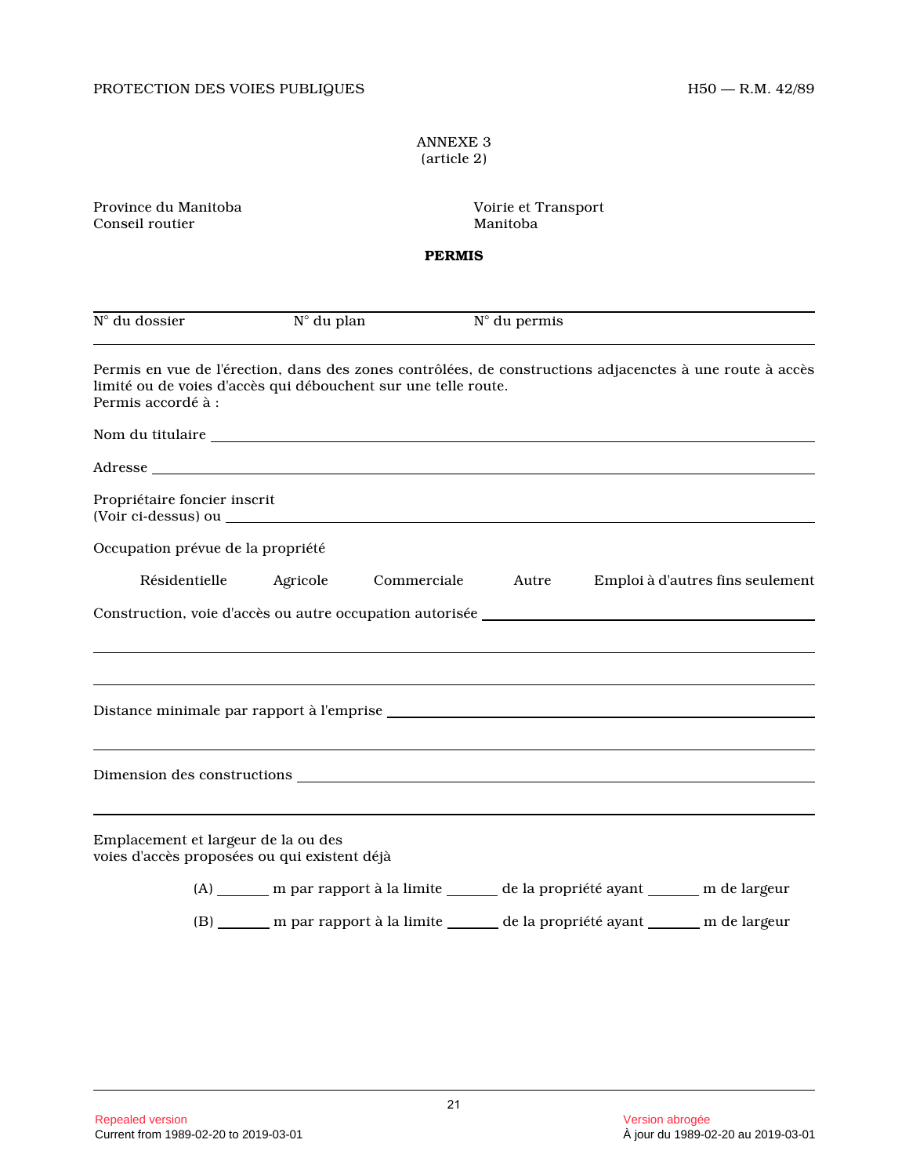## ANNEXE 3 (article 2)

| Province du Manitoba<br>Conseil routier                                                                                                                                                                                              |          |                                                                                           | Voirie et Transport<br>Manitoba  |  |                                  |  |  |  |
|--------------------------------------------------------------------------------------------------------------------------------------------------------------------------------------------------------------------------------------|----------|-------------------------------------------------------------------------------------------|----------------------------------|--|----------------------------------|--|--|--|
| <b>PERMIS</b>                                                                                                                                                                                                                        |          |                                                                                           |                                  |  |                                  |  |  |  |
| N° du dossier                                                                                                                                                                                                                        |          | $N^{\circ}$ du plan                                                                       | $\overline{N}^{\circ}$ du permis |  |                                  |  |  |  |
| Permis en vue de l'érection, dans des zones contrôlées, de constructions adjacenctes à une route à accès<br>limité ou de voies d'accès qui débouchent sur une telle route.<br>Permis accordé à :                                     |          |                                                                                           |                                  |  |                                  |  |  |  |
| Nom du titulaire <b>Nome and Science and Science and Science and Science and Science and Science and Science and Science and Science and Science and Science and Science and Science and Science and Science and Science and Sci</b> |          |                                                                                           |                                  |  |                                  |  |  |  |
| Adresse and the state of the state of the state of the state of the state of the state of the state of the state of the state of the state of the state of the state of the state of the state of the state of the state of th       |          |                                                                                           |                                  |  |                                  |  |  |  |
| Propriétaire foncier inscrit                                                                                                                                                                                                         |          |                                                                                           |                                  |  |                                  |  |  |  |
| Occupation prévue de la propriété                                                                                                                                                                                                    |          |                                                                                           |                                  |  |                                  |  |  |  |
| Résidentielle                                                                                                                                                                                                                        | Agricole |                                                                                           | Commerciale Autre                |  | Emploi à d'autres fins seulement |  |  |  |
| Construction, voie d'accès ou autre occupation autorisée ________________________                                                                                                                                                    |          |                                                                                           |                                  |  |                                  |  |  |  |
|                                                                                                                                                                                                                                      |          |                                                                                           |                                  |  |                                  |  |  |  |
|                                                                                                                                                                                                                                      |          |                                                                                           |                                  |  |                                  |  |  |  |
| Dimension des constructions et al. (2008) and the set of the set of the set of the set of the set of the set of the set of the set of the set of the set of the set of the set of the set of the set of the set of the set of        |          |                                                                                           |                                  |  |                                  |  |  |  |
| Emplacement et largeur de la ou des<br>voies d'accès proposées ou qui existent déjà                                                                                                                                                  |          |                                                                                           |                                  |  |                                  |  |  |  |
|                                                                                                                                                                                                                                      |          | (A) _______ m par rapport à la limite ________ de la propriété ayant _______ m de largeur |                                  |  |                                  |  |  |  |
|                                                                                                                                                                                                                                      |          | (B) _______ m par rapport à la limite ________ de la propriété ayant _______ m de largeur |                                  |  |                                  |  |  |  |